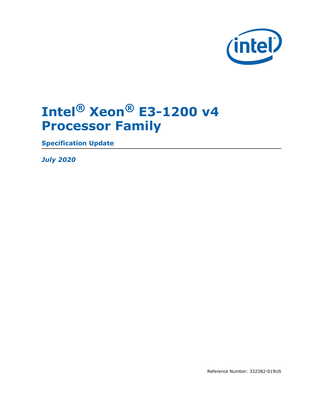

## **Intel® Xeon® E3-1200 v4 Processor Family**

**Specification Update**

*July 2020*

Reference Number: 332382-019US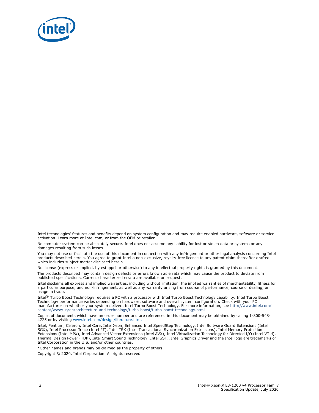

Intel technologies' features and benefits depend on system configuration and may require enabled hardware, software or service activation. Learn more at Intel.com, or from the OEM or retailer.

No computer system can be absolutely secure. Intel does not assume any liability for lost or stolen data or systems or any damages resulting from such losses.

You may not use or facilitate the use of this document in connection with any infringement or other legal analysis concerning Intel products described herein. You agree to grant Intel a non-exclusive, royalty-free license to any patent claim thereafter drafted which includes subject matter disclosed herein.

No license (express or implied, by estoppel or otherwise) to any intellectual property rights is granted by this document.

The products described may contain design defects or errors known as errata which may cause the product to deviate from published specifications. Current characterized errata are available on request.

Intel disclaims all express and implied warranties, including without limitation, the implied warranties of merchantability, fitness for a particular purpose, and non-infringement, as well as any warranty arising from course of performance, course of dealing, or usage in trade.

Intel® Turbo Boost Technology requires a PC with a processor with Intel Turbo Boost Technology capability. Intel Turbo Boost Technology performance varies depending on hardware, software and overall system configuration. Check with your PC manufacturer on whether your system delivers Intel Turbo Boost Technology. For more information, see http://www.intel.com/ content/www/us/en/architecture-and-technology/turbo-boost/turbo-boost-technology.html

Copies of documents which have an order number and are referenced in this document may be obtained by calling 1-800-548- 4725 or by visiting [www.intel.com/design/literature.htm.](http://www.intel.com/design/literature.htm)

Intel, Pentium, Celeron, Intel Core, Intel Xeon, Enhanced Intel SpeedStep Technology, Intel Software Guard Extensions (Intel SGX), Intel Processor Trace (Intel PT), Intel TSX (Intel Transactional Synchronization Extensions), Intel Memory Protection Extensions (Intel MPX), Intel Advanced Vector Extensions (Intel AVX), Intel Virtualization Technology for Directed I/O (Intel VT-d), Thermal Design Power (TDP), Intel Smart Sound Technology (Intel SST), Intel Graphics Driver and the Intel logo are trademarks of Intel Corporation in the U.S. and/or other countries.

\*Other names and brands may be claimed as the property of others.

Copyright © 2020, Intel Corporation. All rights reserved.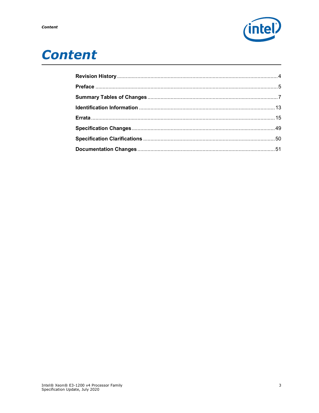

## **Content**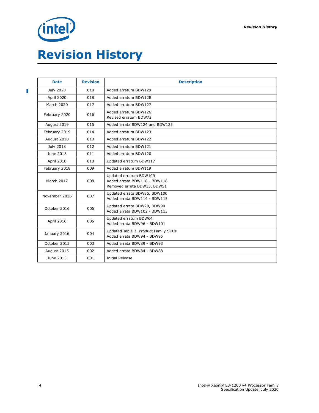# <span id="page-3-0"></span>*(intel)* **Revision History**

 $\overline{\phantom{a}}$ 

| <b>Date</b>      | <b>Revision</b> | <b>Description</b>                                                                    |
|------------------|-----------------|---------------------------------------------------------------------------------------|
| <b>July 2020</b> | 019             | Added erratum BDW129                                                                  |
| April 2020       | 018             | Added erratum BDW128                                                                  |
| March 2020       | 017             | Added erratum BDW127                                                                  |
| February 2020    | 016             | Added erratum BDW126<br>Revised erratum BDW72                                         |
| August 2019      | 015             | Added errata BDW124 and BDW125                                                        |
| February 2019    | 014             | Added erratum BDW123                                                                  |
| August 2018      | 013             | Added erratum BDW122                                                                  |
| <b>July 2018</b> | 012             | Added erratum BDW121                                                                  |
| June 2018        | 011             | Added erratum BDW120                                                                  |
| April 2018       | 010             | Updated erratum BDW117                                                                |
| February 2018    | 009             | Added erratum BDW119                                                                  |
| March 2017       | 008             | Updated erratum BDW109<br>Added errata BDW116 - BDW118<br>Removed errata BDW13, BDW51 |
| November 2016    | 007             | Updated errata BDW85, BDW100<br>Added errata BDW114 - BDW115                          |
| October 2016     | 006             | Updated errata BDW29, BDW90<br>Added errata BDW102 - BDW113                           |
| April 2016       | 005             | Updated erratum BDW64<br>Added errata BDW96 - BDW101                                  |
| January 2016     | 004             | Updated Table 3. Product Family SKUs<br>Added errata BDW94 - BDW95                    |
| October 2015     | 003             | Added errata BDW89 - BDW93                                                            |
| August 2015      | 002             | Added errata BDW84 - BDW88                                                            |
| June 2015        | 001             | <b>Initial Release</b>                                                                |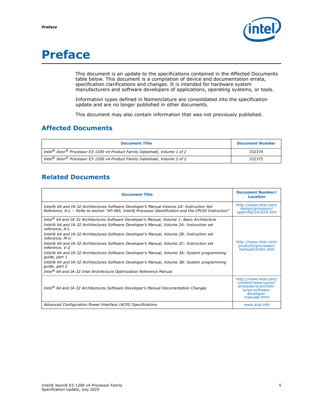

## <span id="page-4-0"></span>**Preface**

This document is an update to the specifications contained in the Affected Documents table below. This document is a compilation of device and documentation errata, specification clarifications and changes. It is intended for hardware system manufacturers and software developers of applications, operating systems, or tools.

Information types defined in Nomenclature are consolidated into the specification update and are no longer published in other documents.

This document may also contain information that was not previously published.

### **Affected Documents**

| <b>Document Title</b>                                                                                      | <b>Document Number</b> |
|------------------------------------------------------------------------------------------------------------|------------------------|
| $_1$ Intel $^{\circledR}$ Xeon $^{\circledR}$ Processor E3-1200 v4 Product Family Datasheet, Volume 1 of 2 | 332374                 |
| Intel <sup>®</sup> Xeon® Processor E3-1200 v4 Product Family Datasheet, Volume 2 of 2                      | 332375                 |

### **Related Documents**

| <b>Document Title</b>                                                                                                                                                                                                                                                                                                                                                                                                                                                                                                                                                                                                                                                                                                                                                      | <b>Document Number/</b><br><b>Location</b>                                                                           |
|----------------------------------------------------------------------------------------------------------------------------------------------------------------------------------------------------------------------------------------------------------------------------------------------------------------------------------------------------------------------------------------------------------------------------------------------------------------------------------------------------------------------------------------------------------------------------------------------------------------------------------------------------------------------------------------------------------------------------------------------------------------------------|----------------------------------------------------------------------------------------------------------------------|
| Intel® 64 and IA-32 Architectures Software Developer's Manual Volume 2A: Instruction Set<br>Reference, A-L -- Refer to section "AP-485, Intel® Processor Identification and the CPUID Instruction"                                                                                                                                                                                                                                                                                                                                                                                                                                                                                                                                                                         | http://www.intel.com/<br>design/processor/<br>applnots/241618.htm                                                    |
| Intel <sup>®</sup> 64 and IA-32 Architectures Software Developer's Manual, Volume 1: Basic Architecture<br>Intel® 64 and IA-32 Architectures Software Developer's Manual, Volume 2A: Instruction set<br>reference, A-L<br>Intel® 64 and IA-32 Architectures Software Developer's Manual, Volume 2B: Instruction set<br>reference, M-U<br>Intel® 64 and IA-32 Architectures Software Developer's Manual, Volume 2C: Instruction set<br>reference, V-Z<br>Intel® 64 and IA-32 Architectures Software Developer's Manual, Volume 3A: System programming<br>quide, part 1<br>Intel® 64 and IA-32 Architectures Software Developer's Manual, Volume 3B: System programming<br>quide, part 2<br>Intel <sup>®</sup> 64 and IA-32 Intel Architecture Optimization Reference Manual | http://www.intel.com/<br>products/processor/<br>manuals/index.htm                                                    |
|                                                                                                                                                                                                                                                                                                                                                                                                                                                                                                                                                                                                                                                                                                                                                                            |                                                                                                                      |
| Intel <sup>®</sup> 64 and IA-32 Architectures Software Developer's Manual Documentation Changes                                                                                                                                                                                                                                                                                                                                                                                                                                                                                                                                                                                                                                                                            | http://www.intel.com/<br>content/www/us/en/<br>processors/architec-<br>tures-software-<br>developer-<br>manuals.html |
| Advanced Configuration Power Interface (ACPI) Specifications                                                                                                                                                                                                                                                                                                                                                                                                                                                                                                                                                                                                                                                                                                               | www.acpi.info                                                                                                        |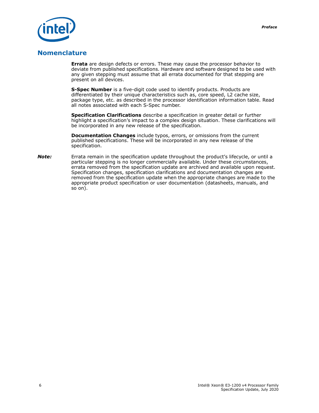

### **Nomenclature**

**Errata** are design defects or errors. These may cause the processor behavior to deviate from published specifications. Hardware and software designed to be used with any given stepping must assume that all errata documented for that stepping are present on all devices.

**S-Spec Number** is a five-digit code used to identify products. Products are differentiated by their unique characteristics such as, core speed, L2 cache size, package type, etc. as described in the processor identification information table. Read all notes associated with each S-Spec number.

**Specification Clarifications** describe a specification in greater detail or further highlight a specification's impact to a complex design situation. These clarifications will be incorporated in any new release of the specification.

**Documentation Changes** include typos, errors, or omissions from the current published specifications. These will be incorporated in any new release of the specification.

*Note:* Errata remain in the specification update throughout the product's lifecycle, or until a particular stepping is no longer commercially available. Under these circumstances, errata removed from the specification update are archived and available upon request. Specification changes, specification clarifications and documentation changes are removed from the specification update when the appropriate changes are made to the appropriate product specification or user documentation (datasheets, manuals, and so on).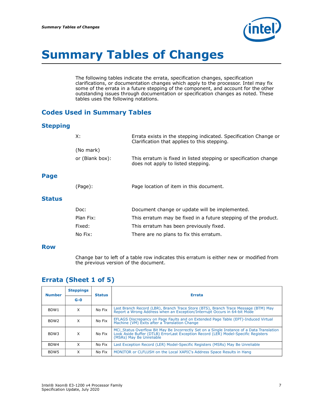

## <span id="page-6-0"></span>**Summary Tables of Changes**

The following tables indicate the errata, specification changes, specification clarifications, or documentation changes which apply to the processor. Intel may fix some of the errata in a future stepping of the component, and account for the other outstanding issues through documentation or specification changes as noted. These tables uses the following notations.

### **Codes Used in Summary Tables**

#### **Stepping**

| X:              | Errata exists in the stepping indicated. Specification Change or<br>Clarification that applies to this stepping. |
|-----------------|------------------------------------------------------------------------------------------------------------------|
| (No mark)       |                                                                                                                  |
| or (Blank box): | This erratum is fixed in listed stepping or specification change<br>does not apply to listed stepping.           |
|                 |                                                                                                                  |
| (Page):         | Page location of item in this document.                                                                          |
|                 |                                                                                                                  |
| Doc:            | Document change or update will be implemented.                                                                   |
| Plan Fix:       | This erratum may be fixed in a future stepping of the product.                                                   |
| Fixed:          | This erratum has been previously fixed.                                                                          |
| No Fix:         | There are no plans to fix this erratum.                                                                          |
|                 |                                                                                                                  |

#### **Row**

**Page**

**Status**

Change bar to left of a table row indicates this erratum is either new or modified from the previous version of the document.

### **Errata (Sheet 1 of 5)**

| <b>Number</b>    | <b>Steppings</b> | <b>Status</b> | <b>Errata</b>                                                                                                                                                                                               |
|------------------|------------------|---------------|-------------------------------------------------------------------------------------------------------------------------------------------------------------------------------------------------------------|
|                  | $G - O$          |               |                                                                                                                                                                                                             |
| BDW1             | X                | No Fix        | Last Branch Record (LBR), Branch Trace Store (BTS), Branch Trace Message (BTM) May<br>Report a Wrong Address when an Exception/Interrupt Occurs in 64-bit Mode                                              |
| BDW <sub>2</sub> | X                | No Fix        | EFLAGS Discrepancy on Page Faults and on Extended Page Table (EPT)-Induced Virtual<br>Machine (VM) Exits after a Translation Change                                                                         |
| BDW3             | X                | No Fix        | MCi_Status Overflow Bit May Be Incorrectly Set on a Single Instance of a Data Translation<br>Look Aside Buffer (DTLB) ErrorLast Exception Record (LER) Model-Specific Registers<br>(MSRs) May Be Unreliable |
| BDW4             | x                | No Fix        | Last Exception Record (LER) Model-Specific Registers (MSRs) May Be Unreliable                                                                                                                               |
| BDW <sub>5</sub> | x                | No Fix        | MONITOR or CLFLUSH on the Local XAPIC's Address Space Results in Hang                                                                                                                                       |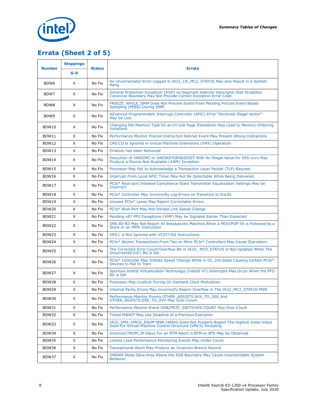



## **Errata (Sheet 2 of 5)**

|                  | <b>Steppings</b> |               |                                                                                                                                                     |
|------------------|------------------|---------------|-----------------------------------------------------------------------------------------------------------------------------------------------------|
| <b>Number</b>    | $G - O$          | <b>Status</b> | <b>Errata</b>                                                                                                                                       |
| BDW <sub>6</sub> | X                | No Fix        | An Uncorrectable Error Logged in IA32 CR_MC2_STATUS May also Result in a System<br>Hang                                                             |
| BDW7             | X                | No Fix        | General Protection Exception (#GP) on Segment Selector Descriptor that Straddles<br>Canonical Boundary May Not Provide Correct Exception Error Code |
| BDW <sub>8</sub> | X                | No Fix        | FREEZE_WHILE_SMM Does Not Prevent Event From Pending Precise Event Based<br>Sampling (PEBS) During SMM                                              |
| BDW9             | X                | No Fix        | Advanced Programmable Interrupt Controller (APIC) Error "Received Illegal Vector"<br>May be Lost                                                    |
| BDW10            | X                | No Fix        | Changing the Memory Type for an In-Use Page Translation May Lead to Memory-Ordering<br><b>Violations</b>                                            |
| <b>BDW11</b>     | X                | No Fix        | Performance Monitor Precise Instruction Retired Event May Present Wrong Indications                                                                 |
| BDW12            | X                | No Fix        | CRO.CD Is Ignored in Virtual Machine Extensions (VMX) Operation                                                                                     |
| BDW13            | X                | No Fix        | Erratum has been Removed                                                                                                                            |
| BDW14            | X                | No Fix        | Execution of VAESIMC or VAESKEYGENASSIST With An Illegal Value for VEX. vvvv May<br>Produce a Device-Not-Available (#NM) Exception                  |
| BDW15            | X                | No Fix        | Processor May Fail to Acknowledge a Transaction Layer Packet (TLP) Request                                                                          |
| BDW16            | X                | No Fix        | Interrupt From Local APIC Timer May Not Be Detectable While Being Delivered                                                                         |
| BDW17            | X                | No Fix        | PCIe* Root-port Initiated Compliance State Transmitter Equalization Settings May be<br><b>Incorrect</b>                                             |
| BDW18            | X                | No Fix        | PCIe* Controller May Incorrectly Log Errors on Transition to RxL0s                                                                                  |
| BDW19            | X                | No Fix        | Unused PCIe* Lanes May Report Correctable Errors                                                                                                    |
| <b>BDW20</b>     | X                | No Fix        | PCIe* Root Port May Not Initiate Link Speed Change                                                                                                  |
| BDW21            | X                | No Fix        | Pending x87 FPU Exceptions (#MF) May be Signaled Earlier Than Expected                                                                              |
| BDW22            | X                | No Fix        | DR6.B0-B3 May Not Report All Breakpoints Matched When a MOV/POP SS is Followed by a Store or an MMX Instruction                                     |
| BDW23            | X                | No Fix        | VEX.L is Not Ignored with VCVT*2SI Instructions                                                                                                     |
| BDW24            | X                | No Fix        | PCIe* Atomic Transactions From Two or More PCIe* Controllers May Cause Starvation                                                                   |
| BDW25            | X                | No Fix        | The Corrected Error Count Overflow Bit in IA32_MC0_STATUS is Not Updated When The<br>Uncorrected (UC) Bit is Set                                    |
| BDW26            | X                | No Fix        | PCIe* Controller May Initiate Speed Change While in DL_Init State Causing Certain PCIe*<br>Devices to Fail to Train                                 |
| BDW27            | X                | No Fix        | Spurious Intel® Virtualization Technology (Intel® VT) Interrupts May Occur When the PFO<br><b>Bit is Set</b>                                        |
| <b>BDW28</b>     | X                | No Fix        | Processor May Livelock During On Demand Clock Modulation                                                                                            |
| BDW29            | X                | No Fix        | Internal Parity Errors May Incorrectly Report Overflow in The IA32_MC2_STATUS MSR                                                                   |
| <b>BDW30</b>     | X                | No Fix        | Performance Monitor Events OTHER_ASSISTS.AVX_TO_SSE And<br>OTHER ASSISTS.SSE TO AVX May Over Count                                                  |
| BDW31            | X                | No Fix        | Performance Monitor Event DSB2MITE SWITCHES.COUNT May Over Count                                                                                    |
| <b>BDW32</b>     | X                | No Fix        | Timed MWAIT May Use Deadline of a Previous Execution                                                                                                |
| BDW33            | X                | No Fix        | IA32_VMX_VMCS_ENUM MSR (48AH) Does Not Properly Report The Highest Index Value<br>Used For Virtual-Machine Control Structure (VMCS) Encoding        |
| BDW34            | X                | No Fix        | Incorrect FROM IP Value For an RTM Abort in BTM or BTS May be Observed                                                                              |
| BDW35            | X                | No Fix        | Locked Load Performance Monitoring Events May Under Count                                                                                           |
| BDW36            | X                | No Fix        | Transactional Abort May Produce an Incorrect Branch Record                                                                                          |
| BDW37            | X                | No Fix        | SMRAM State-Save Area Above the 4GB Boundary May Cause Unpredictable System<br><b>Behavior</b>                                                      |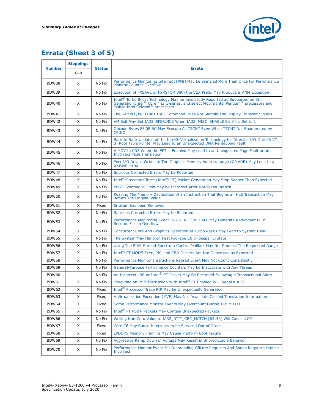

## **Errata (Sheet 3 of 5)**

| <b>Number</b> | <b>Steppings</b> | <b>Status</b> |                                                                                                                                                                                                                                                                 |
|---------------|------------------|---------------|-----------------------------------------------------------------------------------------------------------------------------------------------------------------------------------------------------------------------------------------------------------------|
|               | $G - O$          |               | <b>Errata</b>                                                                                                                                                                                                                                                   |
| BDW38         | X                | No Fix        | Performance Monitoring Interrupt (PMI) May be Signaled More Than Once For Performance<br><b>Monitor Counter Overflow</b>                                                                                                                                        |
| <b>BDW39</b>  | X                | No Fix        | Execution of FXSAVE or FXRSTOR With the VEX Prefix May Produce a #NM Exception                                                                                                                                                                                  |
| BDW40         | X                | No Fix        | Intel <sup>®</sup> Turbo Boost Technology May be Incorrectly Reported as Supported on 5th Generation Intel <sup>®</sup> Core <sup>™</sup> i3 U-series, and select Mobile Intel Pentium <sup>®</sup> processors and Mobile Intel Celeron <sup>®</sup> processors |
| BDW41         | X                | No Fix        | The SAMPLE/PRELOAD JTAG Command Does Not Sample The Display Transmit Signals                                                                                                                                                                                    |
| BDW42         | X                | No Fix        | VM Exit May Set IA32 EFER.NXE When IA32 MISC ENABLE Bit 34 is Set to 1                                                                                                                                                                                          |
| BDW43         | X                | No Fix        | Opcode Bytes F3 0F BC May Execute As TZCNT Even When TZCNT Not Enumerated by<br>Cpuid                                                                                                                                                                           |
| BDW44         | X                | No Fix        | Back to Back Updates of the Intel® Virtualization Technology for Directed I/O (Intel® VT-d) Root Table Pointer May Lead to an Unexpected DMA Remapping Fault                                                                                                    |
| BDW45         | X                | No Fix        | A MOV to CR3 When the EPT is Enabled May Lead to an Unexpected Page Fault or an Incorrect Page Translation                                                                                                                                                      |
| BDW46         | Χ                | No Fix        | Peer I/O Device Writes to The Graphics Memory Address range (GMADR) May Lead to a<br><b>System Hang</b>                                                                                                                                                         |
| <b>BDW47</b>  | X                | No Fix        | Spurious Corrected Errors May be Reported                                                                                                                                                                                                                       |
| BDW48         | X                | No Fix        | Intel <sup>®</sup> Processor Trace (Intel® PT) Packet Generation May Stop Sooner Than Expected                                                                                                                                                                  |
| BDW49         | X                | No Fix        | PEBS Eventing IP Field May be Incorrect After Not-Taken Branch                                                                                                                                                                                                  |
| BDW50         | X                | No Fix        | Reading The Memory Destination of an Instruction That Begins an HLE Transaction May<br>Return The Original Value                                                                                                                                                |
| BDW51         | X                | Fixed         | Erratum has been Removed                                                                                                                                                                                                                                        |
| BDW52         | X                | No Fix        | Spurious Corrected Errors May be Reported                                                                                                                                                                                                                       |
| BDW53         | X                | No Fix        | Performance Monitoring Event INSTR_RETIRED.ALL May Generate Redundant PEBS<br>Records For an Overflow                                                                                                                                                           |
| <b>BDW54</b>  | X                | No Fix        | Concurrent Core And Graphics Operation at Turbo Ratios May Lead to System Hang                                                                                                                                                                                  |
| <b>BDW55</b>  | X                | No Fix        | The System May Hang on First Package C6 or deeper C-State                                                                                                                                                                                                       |
| BDW56         | X                | No Fix        | Using The FIVR Spread Spectrum Control Mailbox May Not Produce The Requested Range                                                                                                                                                                              |
| <b>BDW57</b>  | X                | No Fix        | Intel <sup>®</sup> PT MODE. Exec, PIP, and CBR Packets Are Not Generated as Expected                                                                                                                                                                            |
| BDW58         | X                | No Fix        | Performance Monitor Instructions Retired Event May Not Count Consistently                                                                                                                                                                                       |
| <b>BDW59</b>  | X                | No Fix        | General-Purpose Performance Counters May be Inaccurate with Any Thread                                                                                                                                                                                          |
| <b>BDW60</b>  |                  | No Fix        | An Incorrect LBR or Intel® PT Packet May Be Recorded Following a Transactional Abort                                                                                                                                                                            |
| <b>BDW61</b>  | X                | No Fix        | Executing an RSM Instruction With Intel <sup>®</sup> PT Enabled Will Signal a #GP                                                                                                                                                                               |
| BDW62         | X                | Fixed         | Intel <sup>®</sup> Processor Trace PIP May be Unexpectedly Generated                                                                                                                                                                                            |
| BDW63         | X                | Fixed         | A Virtualization Exception (#VE) May Not Invalidate Cached Translation Information                                                                                                                                                                              |
| BDW64         | X                | Fixed         | Some Performance Monitor Events May Overcount During TLB Misses                                                                                                                                                                                                 |
| BDW65         | X                | No Fix        | Intel <sup>®</sup> PT PSB+ Packets May Contain Unexpected Packets                                                                                                                                                                                               |
| BDW66         | X                | No Fix        | Writing Non-Zero Value to IA32 RTIT CR3 MATCH [63:48] Will Cause #GP                                                                                                                                                                                            |
| BDW67         | X                | Fixed         | Core C6 May Cause Interrupts to be Serviced Out of Order                                                                                                                                                                                                        |
| BDW68         | X                | Fixed         | LPDDR3 Memory Training May Cause Platform Boot Failure                                                                                                                                                                                                          |
| BDW69         | X                | No Fix        | Aggressive Ramp Down of Voltage May Result in Unpredictable Behavior                                                                                                                                                                                            |
| BDW70         | X                | No Fix        | Performance Monitor Event For Outstanding Offcore Requests And Snoop Requests May be<br>Incorrect                                                                                                                                                               |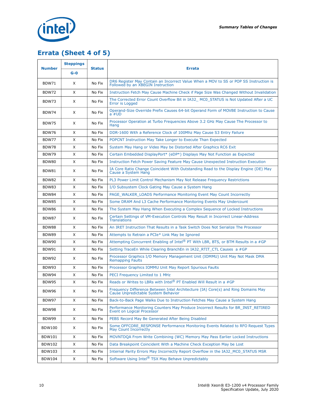

## **Errata (Sheet 4 of 5)**

|               | <b>Steppings</b> |               |                                                                                                                            |
|---------------|------------------|---------------|----------------------------------------------------------------------------------------------------------------------------|
| <b>Number</b> | $G - O$          | <b>Status</b> | <b>Errata</b>                                                                                                              |
| BDW71         | X                | No Fix        | DR6 Register May Contain an Incorrect Value When a MOV to SS or POP SS Instruction is<br>Followed by an XBEGIN Instruction |
| BDW72         | X                | No Fix        | Instruction Fetch May Cause Machine Check if Page Size Was Changed Without Invalidation                                    |
| BDW73         | X                | No Fix        | The Corrected Error Count Overflow Bit in IA32_MC0_STATUS is Not Updated After a UC<br>Error is Logged                     |
| <b>BDW74</b>  | X                | No Fix        | Operand-Size Override Prefix Causes 64-bit Operand Form of MOVBE Instruction to Cause<br>$a \#UD$                          |
| <b>BDW75</b>  | X                | No Fix        | Processor Operation at Turbo Frequencies Above 3.2 GHz May Cause The Processor to<br>Hang                                  |
| <b>BDW76</b>  | X                | No Fix        | DDR-1600 With a Reference Clock of 100Mhz May Cause S3 Entry Failure                                                       |
| BDW77         | X                | No Fix        | POPCNT Instruction May Take Longer to Execute Than Expected                                                                |
| BDW78         | X                | No Fix        | System May Hang or Video May be Distorted After Graphics RC6 Exit                                                          |
| BDW79         | X                | No Fix        | Certain Embedded DisplayPort* (eDP*) Displays May Not Function as Expected                                                 |
| <b>BDW80</b>  | X                | No Fix        | Instruction Fetch Power Saving Feature May Cause Unexpected Instruction Execution                                          |
| BDW81         | X                | No Fix        | IA Core Ratio Change Coincident With Outstanding Read to the Display Engine (DE) May<br>Cause a System Hang                |
| BDW82         | X                | No Fix        | PL3 Power Limit Control Mechanism May Not Release Frequency Restrictions                                                   |
| <b>BDW83</b>  | X                | No Fix        | I/O Subsystem Clock Gating May Cause a System Hang                                                                         |
| <b>BDW84</b>  | X                | No Fix        | PAGE WALKER LOADS Performance Monitoring Event May Count Incorrectly                                                       |
| <b>BDW85</b>  | X                | No Fix        | Some DRAM And L3 Cache Performance Monitoring Events May Undercount                                                        |
| <b>BDW86</b>  | X                | No Fix        | The System May Hang When Executing a Complex Sequence of Locked Instructions                                               |
| <b>BDW87</b>  | X                | No Fix        | Certain Settings of VM-Execution Controls May Result in Incorrect Linear-Address<br><b>Translations</b>                    |
| <b>BDW88</b>  | X                | No Fix        | An IRET Instruction That Results in a Task Switch Does Not Serialize The Processor                                         |
| BDW89         | X                | No Fix        | Attempts to Retrain a PCIe* Link May be Ignored                                                                            |
| BDW90         | X                | No Fix        | Attempting Concurrent Enabling of Intel® PT With LBR, BTS, or BTM Results in a #GP                                         |
| <b>BDW91</b>  | X                | No Fix        | Setting TraceEn While Clearing BranchEn in IA32 RTIT CTL Causes a #GP                                                      |
| BDW92         | X                | No Fix        | Processor Graphics I/O Memory Management Unit (IOMMU) Unit May Not Mask DMA<br>Remapping Faults                            |
| BDW93         | X                | No Fix        | Processor Graphics IOMMU Unit May Report Spurious Faults                                                                   |
| BDW94         | X                | No Fix        | PECI Frequency Limited to 1 MHz                                                                                            |
| <b>BDW95</b>  | X                | No Fix        | Reads or Writes to LBRs with Intel® PT Enabled Will Result in a #GP                                                        |
| <b>BDW96</b>  | X                | No Fix        | Frequency Difference Between Intel Architecture (IA) Core(s) and Ring Domains May<br>Cause Unpredictable System Behavior   |
| BDW97         | X                | No Fix        | Back-to-Back Page Walks Due to Instruction Fetches May Cause a System Hang                                                 |
| BDW98         | X                | No Fix        | Performance Monitoring Counters May Produce Incorrect Results for BR INST RETIRED<br>Event on Logical Processor            |
| BDW99         | X                | No Fix        | PEBS Record May Be Generated After Being Disabled                                                                          |
| <b>BDW100</b> | X                | No Fix        | Some OFFCORE_RESPONSE Performance Monitoring Events Related to RFO Request Types<br><b>May Count Incorrectly</b>           |
| <b>BDW101</b> | X                | No Fix        | MOVNTDQA From Write Combining (WC) Memory May Pass Earlier Locked Instructions                                             |
| <b>BDW102</b> | X                | No Fix        | Data Breakpoint Coincident With a Machine Check Exception May be Lost                                                      |
| BDW103        | X                | No Fix        | Internal Parity Errors May Incorrectly Report Overflow in the IA32 MC0 STATUS MSR                                          |
| <b>BDW104</b> | X                | No Fix        | Software Using Intel® TSX May Behave Unpredictably                                                                         |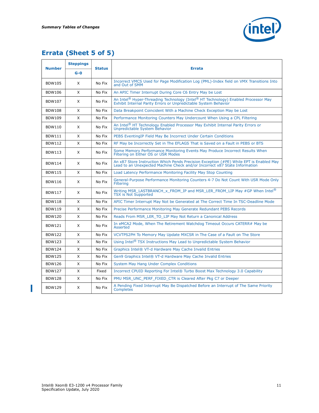

## **Errata (Sheet 5 of 5)**

| <b>Number</b> | <b>Steppings</b> | <b>Status</b> | <b>Errata</b>                                                                                                                                                                |
|---------------|------------------|---------------|------------------------------------------------------------------------------------------------------------------------------------------------------------------------------|
|               | $G - O$          |               |                                                                                                                                                                              |
| <b>BDW105</b> | X                | No Fix        | Incorrect VMCS Used for Page Modification Log (PML)-Index field on VMX Transitions Into<br>and Out of SMM                                                                    |
| <b>BDW106</b> | X                | No Fix        | An APIC Timer Interrupt During Core C6 Entry May be Lost                                                                                                                     |
| <b>BDW107</b> | X                | No Fix        | An Intel <sup>®</sup> Hyper-Threading Technology (Intel <sup>®</sup> HT Technology) Enabled Processor May<br>Exhibit Internal Parity Errors or Unpredictable System Behavior |
| <b>BDW108</b> | X                | No Fix        | Data Breakpoint Coincident With a Machine Check Exception May be Lost                                                                                                        |
| <b>BDW109</b> | X                | No Fix        | Performance Monitoring Counters May Undercount When Using a CPL Filtering                                                                                                    |
| <b>BDW110</b> | X                | No Fix        | An Intel <sup>®</sup> HT Technology Enabled Processor May Exhibit Internal Parity Errors or<br>Unpredictable System Behavior                                                 |
| <b>BDW111</b> | X                | No Fix        | PEBS Eventing IP Field May Be Incorrect Under Certain Conditions                                                                                                             |
| <b>BDW112</b> | X                | No Fix        | RF May be Incorrectly Set in The EFLAGS That is Saved on a Fault in PEBS or BTS                                                                                              |
| <b>BDW113</b> | X                | No Fix        | Some Memory Performance Monitoring Events May Produce Incorrect Results When Filtering on Either OS or USR Modes                                                             |
| <b>BDW114</b> | X                | No Fix        | An x87 Store Instruction Which Pends Precision Exception (#PE) While EPT is Enabled May<br>Lead to an Unexpected Machine Check and/or Incorrect x87 State Information        |
| <b>BDW115</b> | X                | No Fix        | Load Latency Performance Monitoring Facility May Stop Counting                                                                                                               |
| <b>BDW116</b> | X                | No Fix        | General-Purpose Performance Monitoring Counters 4-7 Do Not Count With USR Mode Only<br><b>Filtering</b>                                                                      |
| <b>BDW117</b> | X                | No Fix        | Writing MSR LASTBRANCH x FROM IP and MSR LER FROM LIP May #GP When Intel <sup>®</sup><br><b>TSX is Not Supported</b>                                                         |
| <b>BDW118</b> | X                | No Fix        | APIC Timer Interrupt May Not be Generated at The Correct Time In TSC-Deadline Mode                                                                                           |
| <b>BDW119</b> | X                | No Fix        | Precise Performance Monitoring May Generate Redundant PEBS Records                                                                                                           |
| <b>BDW120</b> | X                | No Fix        | Reads From MSR LER TO LIP May Not Return a Canonical Address                                                                                                                 |
| <b>BDW121</b> | X                | No Fix        | In eMCA2 Mode, When The Retirement Watchdog Timeout Occurs CATERR# May be<br><b>Asserted</b>                                                                                 |
| <b>BDW122</b> | X                | No Fix        | VCVTPS2PH To Memory May Update MXCSR in The Case of a Fault on The Store                                                                                                     |
| <b>BDW123</b> | X                | No Fix        | Using Intel <sup>®</sup> TSX Instructions May Lead to Unpredictable System Behavior                                                                                          |
| <b>BDW124</b> | X                | No Fix        | Graphics Intel® VT-d Hardware May Cache Invalid Entries                                                                                                                      |
| <b>BDW125</b> | X                | No Fix        | Gen9 Graphics Intel® VT-d Hardware May Cache Invalid Entries                                                                                                                 |
| <b>BDW126</b> | X                | No Fix        | <b>System May Hang Under Complex Conditions</b>                                                                                                                              |
| <b>BDW127</b> | X                | Fixed         | Incorrect CPUID Reporting For Intel® Turbo Boost Max Technology 3.0 Capability                                                                                               |
| <b>BDW128</b> | X                | No Fix        | PMU MSR UNC PERF FIXED CTR is Cleared After Pkg C7 or Deeper                                                                                                                 |
| <b>BDW129</b> | X                | No Fix        | A Pending Fixed Interrupt May Be Dispatched Before an Interrupt of The Same Priority<br>Completes                                                                            |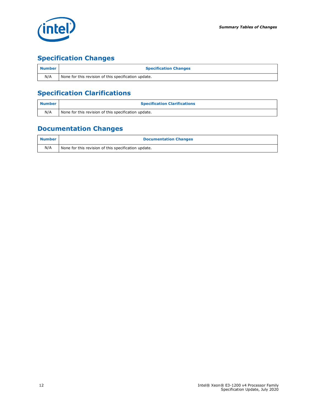

## **Specification Changes**

| <b>Number</b> | <b>Specification Changes</b>                         |
|---------------|------------------------------------------------------|
| N/A           | None for this revision of this specification update. |

## **Specification Clarifications**

| <b>Number</b> | <b>Specification Clarifications</b>                  |
|---------------|------------------------------------------------------|
| N/A           | None for this revision of this specification update. |

### **Documentation Changes**

| <b>Number</b> | <b>Documentation Changes</b>                         |
|---------------|------------------------------------------------------|
| N/A           | None for this revision of this specification update. |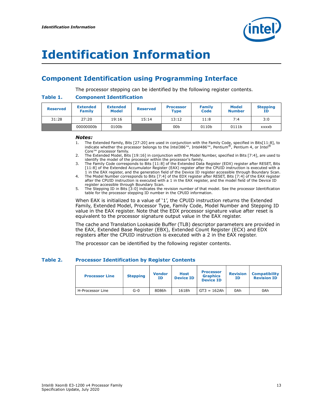

## <span id="page-12-0"></span>**Identification Information**

### **Component Identification using Programming Interface**

The processor stepping can be identified by the following register contents.

#### **Table 1. Component Identification**

| <b>Reserved</b> | <b>Extended</b><br>Family | <b>Extended</b><br><b>Model</b> | <b>Reserved</b> | <b>Processor</b><br><b>Type</b> | Family<br>Code | <b>Model</b><br><b>Number</b> | <b>Stepping</b><br>ΙD |
|-----------------|---------------------------|---------------------------------|-----------------|---------------------------------|----------------|-------------------------------|-----------------------|
| 31:28           | 27:20                     | 19:16                           | 15:14           | 13:12                           | 11:8           | 7:4                           | 3:0                   |
|                 | 00000000b                 | 0100b                           |                 | 00 <sub>b</sub>                 | 0110b          | 0111b                         | xxxxb                 |

#### *Notes:*

- 1. The Extended Family, Bits [27:20] are used in conjunction with the Family Code, specified in Bits[11:8], to indicate whether the processor belongs to the Intel386™, Intel486™, Pentium®, Pentium 4, or Intel® Core™ processor family.
- 2. The Extended Model, Bits [19:16] in conjunction with the Model Number, specified in Bits [7:4], are used to identify the model of the processor within the processor's family.

3. The Family Code corresponds to Bits [11:8] of the Extended Data Register (EDX) register after RESET, Bits [11:8] of the Extended Accumulator Register (EAX) register after the CPUID instruction is executed with a 1 in the EAX register, and the generation field of the Device ID register accessible through Boundary Scan.

- 4. The Model Number corresponds to Bits [7:4] of the EDX register after RESET, Bits [7:4] of the EAX register after the CPUID instruction is executed with a 1 in the EAX register, and the model field of the Device ID register accessible through Boundary Scan.
- 5. The Stepping ID in Bits [3:0] indicates the revision number of that model. See the processor Identification table for the processor stepping ID number in the CPUID information.

When EAX is initialized to a value of '1', the CPUID instruction returns the Extended Family, Extended Model, Processor Type, Family Code, Model Number and Stepping ID value in the EAX register. Note that the EDX processor signature value after reset is equivalent to the processor signature output value in the EAX register.

The cache and Translation Lookaside Buffer (TLB) descriptor parameters are provided in the EAX, Extended Base Register (EBX), Extended Count Register (ECX) and EDX registers after the CPUID instruction is executed with a 2 in the EAX register.

The processor can be identified by the following register contents.

#### **Table 2. Processor Identification by Register Contents**

| <b>Processor Line</b> | <b>Stepping</b> | <b>Vendor</b><br>ΙD | <b>Host</b><br><b>Device ID</b> | <b>Processor</b><br><b>Graphics</b><br><b>Device ID</b> | <b>Revision</b><br>ΙD | <b>Compatibility</b><br><b>Revision ID</b> |
|-----------------------|-----------------|---------------------|---------------------------------|---------------------------------------------------------|-----------------------|--------------------------------------------|
| H-Processor Line      | $G-0$           | 8086h               | 1618h                           | $GT3 = 162Ah$                                           | 0Ah                   | 0Ah                                        |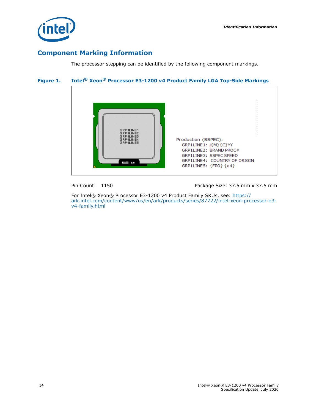

### **Component Marking Information**

The processor stepping can be identified by the following component markings.

#### **Figure 1. Intel® Xeon® Processor E3-1200 v4 Product Family LGA Top-Side Markings**



Pin Count: 1150 Package Size: 37.5 mm x 37.5 mm

For Intel® Xeon® Processor E3-1200 v4 Product Family SKUs, see: https:// ark.intel.com/content/www/us/en/ark/products/series/87722/intel-xeon-processor-e3 v4-family.html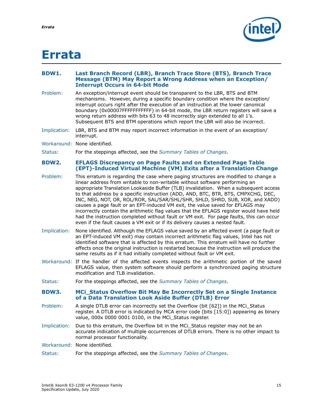

## <span id="page-14-0"></span>**Errata**

#### <span id="page-14-1"></span>**BDW1. Last Branch Record (LBR), Branch Trace Store (BTS), Branch Trace Message (BTM) May Report a Wrong Address when an Exception/ Interrupt Occurs in 64-bit Mode**

- Problem: An exception/interrupt event should be transparent to the LBR, BTS and BTM mechanisms. However, during a specific boundary condition where the exception/ interrupt occurs right after the execution of an instruction at the lower canonical boundary (0x00007FFFFFFFFFFF) in 64-bit mode, the LBR return registers will save a wrong return address with bits 63 to 48 incorrectly sign extended to all 1's. Subsequent BTS and BTM operations which report the LBR will also be incorrect.
- Implication: LBR, BTS and BTM may report incorrect information in the event of an exception/ interrupt.
- Workaround: None identified.
- Status: For the steppings affected, see the *[Summary Tables of Changes](#page-6-0)*.

#### <span id="page-14-2"></span>**BDW2. EFLAGS Discrepancy on Page Faults and on Extended Page Table (EPT)-Induced Virtual Machine (VM) Exits after a Translation Change**

- Problem: This erratum is regarding the case where paging structures are modified to change a linear address from writable to non-writable without software performing an appropriate Translation Lookaside Buffer (TLB) invalidation. When a subsequent access to that address by a specific instruction (ADD, AND, BTC, BTR, BTS, CMPXCHG, DEC, INC, NEG, NOT, OR, ROL/ROR, SAL/SAR/SHL/SHR, SHLD, SHRD, SUB, XOR, and XADD) causes a page fault or an EPT-induced VM exit, the value saved for EFLAGS may incorrectly contain the arithmetic flag values that the EFLAGS register would have held had the instruction completed without fault or VM exit. For page faults, this can occur even if the fault causes a VM exit or if its delivery causes a nested fault.
- Implication: None identified. Although the EFLAGS value saved by an affected event (a page fault or an EPT-induced VM exit) may contain incorrect arithmetic flag values, Intel has not identified software that is affected by this erratum. This erratum will have no further effects once the original instruction is restarted because the instruction will produce the same results as if it had initially completed without fault or VM exit.
- Workaround: If the handler of the affected events inspects the arithmetic portion of the saved EFLAGS value, then system software should perform a synchronized paging structure modification and TLB invalidation.
- Status: For the steppings affected, see the *[Summary Tables of Changes](#page-6-0)*.

#### <span id="page-14-3"></span>**BDW3. MCi\_Status Overflow Bit May Be Incorrectly Set on a Single Instance of a Data Translation Look Aside Buffer (DTLB) Error**

- Problem: A single DTLB error can incorrectly set the Overflow (bit [62]) in the MCi\_Status register. A DTLB error is indicated by MCA error code (bits [15:0]) appearing as binary value, 000x 0000 0001 0100, in the MCi\_Status register.
- Implication: Due to this erratum, the Overflow bit in the MCi Status register may not be an accurate indication of multiple occurrences of DTLB errors. There is no other impact to normal processor functionality.

Workaround: None identified.

Status: For the steppings affected, see the *[Summary Tables of Changes](#page-6-0)*.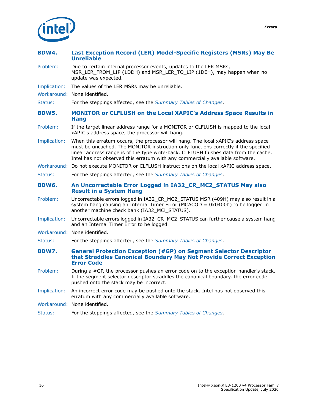

<span id="page-15-1"></span><span id="page-15-0"></span>

| BDW4.        | Last Exception Record (LER) Model-Specific Registers (MSRs) May Be<br><b>Unreliable</b>                                                                                                                                                                                                                                                            |
|--------------|----------------------------------------------------------------------------------------------------------------------------------------------------------------------------------------------------------------------------------------------------------------------------------------------------------------------------------------------------|
| Problem:     | Due to certain internal processor events, updates to the LER MSRs,<br>MSR_LER_FROM_LIP (1DDH) and MSR_LER_TO_LIP (1DEH), may happen when no<br>update was expected.                                                                                                                                                                                |
| Implication: | The values of the LER MSRs may be unreliable.                                                                                                                                                                                                                                                                                                      |
|              | Workaround: None identified.                                                                                                                                                                                                                                                                                                                       |
| Status:      | For the steppings affected, see the Summary Tables of Changes.                                                                                                                                                                                                                                                                                     |
| <b>BDW5.</b> | <b>MONITOR or CLFLUSH on the Local XAPIC's Address Space Results in</b><br><b>Hang</b>                                                                                                                                                                                                                                                             |
| Problem:     | If the target linear address range for a MONITOR or CLFLUSH is mapped to the local<br>xAPIC's address space, the processor will hang.                                                                                                                                                                                                              |
| Implication: | When this erratum occurs, the processor will hang. The local xAPIC's address space<br>must be uncached. The MONITOR instruction only functions correctly if the specified<br>linear address range is of the type write-back. CLFLUSH flushes data from the cache.<br>Intel has not observed this erratum with any commercially available software. |
|              | Workaround: Do not execute MONITOR or CLFLUSH instructions on the local xAPIC address space.                                                                                                                                                                                                                                                       |
| Status:      | For the steppings affected, see the Summary Tables of Changes.                                                                                                                                                                                                                                                                                     |
|              |                                                                                                                                                                                                                                                                                                                                                    |
| BDW6.        | An Uncorrectable Error Logged in IA32_CR_MC2_STATUS May also<br><b>Result in a System Hang</b>                                                                                                                                                                                                                                                     |
| Problem:     | Uncorrectable errors logged in IA32_CR_MC2_STATUS MSR (409H) may also result in a<br>system hang causing an Internal Timer Error (MCACOD = $0x0400h$ ) to be logged in<br>another machine check bank (IA32_MCi_STATUS).                                                                                                                            |
| Implication: | Uncorrectable errors logged in IA32_CR_MC2_STATUS can further cause a system hang<br>and an Internal Timer Error to be logged.                                                                                                                                                                                                                     |
|              | Workaround: None identified.                                                                                                                                                                                                                                                                                                                       |
| Status:      | For the steppings affected, see the Summary Tables of Changes.                                                                                                                                                                                                                                                                                     |
| BDW7.        | <b>General Protection Exception (#GP) on Segment Selector Descriptor</b><br>that Straddles Canonical Boundary May Not Provide Correct Exception<br><b>Error Code</b>                                                                                                                                                                               |
| Problem:     | During a #GP, the processor pushes an error code on to the exception handler's stack.<br>If the segment selector descriptor straddles the canonical boundary, the error code<br>pushed onto the stack may be incorrect.                                                                                                                            |
| Implication: | An incorrect error code may be pushed onto the stack. Intel has not observed this<br>erratum with any commercially available software.                                                                                                                                                                                                             |
|              | Workaround: None identified.                                                                                                                                                                                                                                                                                                                       |

<span id="page-15-3"></span><span id="page-15-2"></span>Status: For the steppings affected, see the *[Summary Tables of Changes](#page-6-0)*.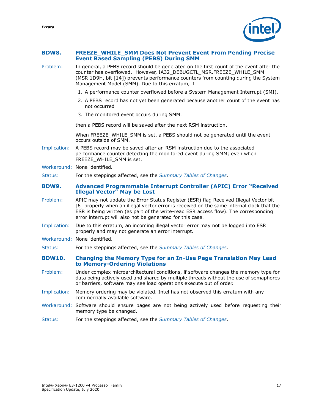*Errata*

#### <span id="page-16-2"></span>**BDW8. FREEZE\_WHILE\_SMM Does Not Prevent Event From Pending Precise Event Based Sampling (PEBS) During SMM**

- Problem: In general, a PEBS record should be generated on the first count of the event after the counter has overflowed. However, IA32\_DEBUGCTL\_MSR.FREEZE\_WHILE\_SMM (MSR 1D9H, bit [14]) prevents performance counters from counting during the System Management Model (SMM). Due to this erratum, if
	- 1. A performance counter overflowed before a System Management Interrupt (SMI).
	- 2. A PEBS record has not yet been generated because another count of the event has not occurred
	- 3. The monitored event occurs during SMM.

then a PEBS record will be saved after the next RSM instruction.

When FREEZE\_WHILE\_SMM is set, a PEBS should not be generated until the event occurs outside of SMM.

- Implication: A PEBS record may be saved after an RSM instruction due to the associated performance counter detecting the monitored event during SMM; even when FREEZE\_WHILE\_SMM is set.
- Workaround: None identified.

Status: For the steppings affected, see the *[Summary Tables of Changes](#page-6-0)*.

#### <span id="page-16-1"></span>**BDW9. Advanced Programmable Interrupt Controller (APIC) Error "Received Illegal Vector" May be Lost**

- Problem: APIC may not update the Error Status Register (ESR) flag Received Illegal Vector bit [6] properly when an illegal vector error is received on the same internal clock that the ESR is being written (as part of the write-read ESR access flow). The corresponding error interrupt will also not be generated for this case.
- Implication: Due to this erratum, an incoming illegal vector error may not be logged into ESR properly and may not generate an error interrupt.
- Workaround: None identified.

Status: For the steppings affected, see the *[Summary Tables of Changes](#page-6-0)*.

#### <span id="page-16-0"></span>**BDW10. Changing the Memory Type for an In-Use Page Translation May Lead to Memory-Ordering Violations**

- Problem: Under complex microarchitectural conditions, if software changes the memory type for data being actively used and shared by multiple threads without the use of semaphores or barriers, software may see load operations execute out of order.
- Implication: Memory ordering may be violated. Intel has not observed this erratum with any commercially available software.
- Workaround: Software should ensure pages are not being actively used before requesting their memory type be changed.
- Status: For the steppings affected, see the *[Summary Tables of Changes](#page-6-0)*.

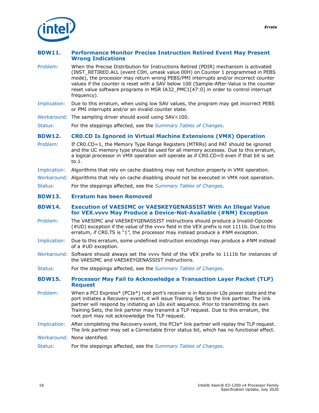

#### <span id="page-17-0"></span>**BDW11. Performance Monitor Precise Instruction Retired Event May Present Wrong Indications**

- Problem: When the Precise Distribution for Instructions Retired (PDIR) mechanism is activated (INST\_RETIRED.ALL (event C0H, umask value 00H) on Counter 1 programmed in PEBS mode), the processor may return wrong PEBS/PMI interrupts and/or incorrect counter values if the counter is reset with a SAV below 100 (Sample-After-Value is the counter reset value software programs in MSR IA32\_PMC1[47:0] in order to control interrupt frequency).
- Implication: Due to this erratum, when using low SAV values, the program may get incorrect PEBS or PMI interrupts and/or an invalid counter state.
- Workaround: The sampling driver should avoid using SAV<100.
- Status: For the steppings affected, see the *[Summary Tables of Changes](#page-6-0)*.

#### <span id="page-17-4"></span>**BDW12. CR0.CD Is Ignored in Virtual Machine Extensions (VMX) Operation**

- Problem: If CR0.CD=1, the Memory Type Range Registers (MTRRs) and PAT should be ignored and the UC memory type should be used for all memory accesses. Due to this erratum, a logical processor in VMX operation will operate as if CR0.CD=0 even if that bit is set to 1.
- Implication: Algorithms that rely on cache disabling may not function properly in VMX operation.
- Workaround: Algorithms that rely on cache disabling should not be executed in VMX root operation.
- Status: For the steppings affected, see the *[Summary Tables of Changes](#page-6-0)*.
- <span id="page-17-1"></span>**BDW13. Erratum has been Removed**

#### <span id="page-17-2"></span>**BDW14. Execution of VAESIMC or VAESKEYGENASSIST With An Illegal Value for VEX.vvvv May Produce a Device-Not-Available (#NM) Exception**

- Problem: The VAESIMC and VAESKEYGENASSIST instructions should produce a Invalid-Opcode (#UD) exception if the value of the vvvv field in the VEX prefix is not 1111b. Due to this erratum, if CR0.TS is "1", the processor may instead produce a #NM exception.
- Implication: Due to this erratum, some undefined instruction encodings may produce a #NM instead of a #UD exception.
- Workaround: Software should always set the vvvv field of the VEX prefix to 1111b for instances of the VAESIMC and VAESKEYGENASSIST instructions.
- Status: For the steppings affected, see the *[Summary Tables of Changes](#page-6-0)*.

#### <span id="page-17-3"></span>**BDW15. Processor May Fail to Acknowledge a Transaction Layer Packet (TLP) Request**

- Problem: When a PCI Express\* (PCIe\*) root port's receiver is in Receiver L0s power state and the port initiates a Recovery event, it will issue Training Sets to the link partner. The link partner will respond by initiating an L0s exit sequence. Prior to transmitting its own Training Sets, the link partner may transmit a TLP request. Due to this erratum, the root port may not acknowledge the TLP request.
- Implication: After completing the Recovery event, the PCIe\* link partner will replay the TLP request. The link partner may set a Correctable Error status bit, which has no functional effect.
- Workaround: None identified.
- Status: For the steppings affected, see the *[Summary Tables of Changes](#page-6-0)*.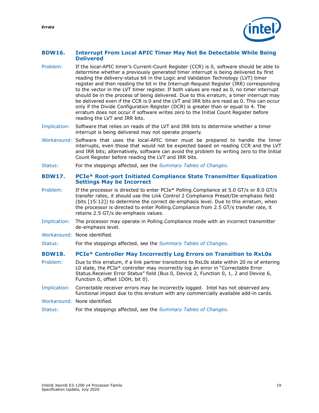*Errata*

#### <span id="page-18-0"></span>**BDW16. Interrupt From Local APIC Timer May Not Be Detectable While Being Delivered**

- Problem: If the local-APIC timer's Current-Count Register (CCR) is 0, software should be able to determine whether a previously generated timer interrupt is being delivered by first reading the delivery-status bit in the Logic and Validation Technology (LVT) timer register and then reading the bit in the Interrupt-Request Register (IRR) corresponding to the vector in the LVT timer register. If both values are read as 0, no timer interrupt should be in the process of being delivered. Due to this erratum, a timer interrupt may be delivered even if the CCR is 0 and the LVT and IRR bits are read as 0. This can occur only if the Divide Configuration Register (DCR) is greater than or equal to 4. The erratum does not occur if software writes zero to the Initial Count Register before reading the LVT and IRR bits.
- Implication: Software that relies on reads of the LVT and IRR bits to determine whether a timer interrupt is being delivered may not operate properly.
- Workaround: Software that uses the local-APIC timer must be prepared to handle the timer interrupts, even those that would not be expected based on reading CCR and the LVT and IRR bits; alternatively, software can avoid the problem by writing zero to the Initial Count Register before reading the LVT and IRR bits.
- Status: For the steppings affected, see the *[Summary Tables of Changes](#page-6-0)*.

#### <span id="page-18-1"></span>**BDW17. PCIe\* Root-port Initiated Compliance State Transmitter Equalization Settings May be Incorrect**

- Problem: If the processor is directed to enter PCIe\* Polling.Compliance at 5.0 GT/s or 8.0 GT/s transfer rates, it should use the Link Control 2 Compliance Preset/De-emphasis field (bits [15:12]) to determine the correct de-emphasis level. Due to this erratum, when the processor is directed to enter Polling.Compliance from 2.5 GT/s transfer rate, it retains 2.5 GT/s de-emphasis values.
- Implication: The processor may operate in Polling.Compliance mode with an incorrect transmitter de-emphasis level.
- Workaround: None identified.
- Status: For the steppings affected, see the *[Summary Tables of Changes](#page-6-0)*.

#### <span id="page-18-2"></span>**BDW18. PCIe\* Controller May Incorrectly Log Errors on Transition to RxL0s**

- Problem: Due to this erratum, if a link partner transitions to RxL0s state within 20 ns of entering L0 state, the PCIe\* controller may incorrectly log an error in "Correctable Error Status.Receiver Error Status" field (Bus 0, Device 2, Function 0, 1, 2 and Device 6, Function 0, offset 1D0H, bit 0).
- Implication: Correctable receiver errors may be incorrectly logged. Intel has not observed any functional impact due to this erratum with any commercially available add-in cards.
- Workaround: None identified.
- Status: For the steppings affected, see the *[Summary Tables of Changes](#page-6-0)*.

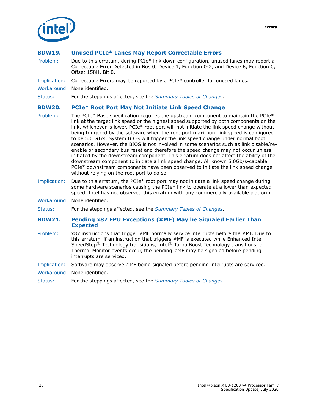

#### <span id="page-19-0"></span>**BDW19. Unused PCIe\* Lanes May Report Correctable Errors**

- Problem: Due to this erratum, during PCIe\* link down configuration, unused lanes may report a Correctable Error Detected in Bus 0, Device 1, Function 0-2, and Device 6, Function 0, Offset 158H, Bit 0.
- Implication: Correctable Errors may be reported by a PCIe\* controller for unused lanes.
- Workaround: None identified.

Status: For the steppings affected, see the *[Summary Tables of Changes](#page-6-0)*.

#### <span id="page-19-1"></span>**BDW20. PCIe\* Root Port May Not Initiate Link Speed Change**

- Problem: The PCIe\* Base specification requires the upstream component to maintain the PCIe\* link at the target link speed or the highest speed supported by both components on the link, whichever is lower. PCIe\* root port will not initiate the link speed change without being triggered by the software when the root port maximum link speed is configured to be 5.0 GT/s. System BIOS will trigger the link speed change under normal boot scenarios. However, the BIOS is not involved in some scenarios such as link disable/reenable or secondary bus reset and therefore the speed change may not occur unless initiated by the downstream component. This erratum does not affect the ability of the downstream component to initiate a link speed change. All known 5.0Gb/s-capable PCIe\* downstream components have been observed to initiate the link speed change without relying on the root port to do so.
- Implication: Due to this erratum, the PCIe\* root port may not initiate a link speed change during some hardware scenarios causing the PCIe\* link to operate at a lower than expected speed. Intel has not observed this erratum with any commercially available platform.
- Workaround: None identified.
- Status: For the steppings affected, see the *[Summary Tables of Changes](#page-6-0)*.

#### <span id="page-19-2"></span>**BDW21. Pending x87 FPU Exceptions (#MF) May be Signaled Earlier Than Expected**

- Problem: x87 instructions that trigger #MF normally service interrupts before the #MF. Due to this erratum, if an instruction that triggers #MF is executed while Enhanced Intel SpeedStep® Technology transitions, Intel® Turbo Boost Technology transitions, or Thermal Monitor events occur, the pending #MF may be signaled before pending interrupts are serviced.
- Implication: Software may observe #MF being-signaled before pending interrupts are serviced.
- Workaround: None identified.
- Status: For the steppings affected, see the *[Summary Tables of Changes](#page-6-0)*.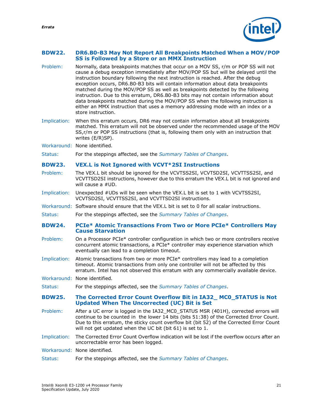*Errata*

#### <span id="page-20-0"></span>**BDW22. DR6.B0-B3 May Not Report All Breakpoints Matched When a MOV/POP SS is Followed by a Store or an MMX Instruction**

- Problem: Normally, data breakpoints matches that occur on a MOV SS, r/m or POP SS will not cause a debug exception immediately after MOV/POP SS but will be delayed until the instruction boundary following the next instruction is reached. After the debug exception occurs, DR6.B0-B3 bits will contain information about data breakpoints matched during the MOV/POP SS as well as breakpoints detected by the following instruction. Due to this erratum, DR6.B0-B3 bits may not contain information about data breakpoints matched during the MOV/POP SS when the following instruction is either an MMX instruction that uses a memory addressing mode with an index or a store instruction.
- Implication: When this erratum occurs, DR6 may not contain information about all breakpoints matched. This erratum will not be observed under the recommended usage of the MOV SS,r/m or POP SS instructions (that is, following them only with an instruction that writes (E/R)SP).
- Workaround: None identified.
- Status: For the steppings affected, see the *[Summary Tables of Changes](#page-6-0)*.

#### <span id="page-20-1"></span>**BDW23. VEX.L is Not Ignored with VCVT\*2SI Instructions**

- Problem: The VEX.L bit should be ignored for the VCVTSS2SI, VCVTSD2SI, VCVTTSS2SI, and VCVTTSD2SI instructions, however due to this erratum the VEX.L bit is not ignored and will cause a #UD.
- Implication: Unexpected #UDs will be seen when the VEX.L bit is set to 1 with VCVTSS2SI, VCVTSD2SI, VCVTTSS2SI, and VCVTTSD2SI instructions.
- Workaround: Software should ensure that the VEX.L bit is set to 0 for all scalar instructions.
- Status: For the steppings affected, see the *[Summary Tables of Changes](#page-6-0)*.
- <span id="page-20-2"></span>**BDW24. PCIe\* Atomic Transactions From Two or More PCIe\* Controllers May Cause Starvation**
- Problem: On a Processor PCIe\* controller configuration in which two or more controllers receive concurrent atomic transactions, a PCIe\* controller may experience starvation which eventually can lead to a completion timeout.
- Implication: Atomic transactions from two or more PCIe\* controllers may lead to a completion timeout. Atomic transactions from only one controller will not be affected by this erratum. Intel has not observed this erratum with any commercially available device.
- Workaround: None identified.
- Status: For the steppings affected, see the *[Summary Tables of Changes](#page-6-0)*.

#### <span id="page-20-3"></span>**BDW25. The Corrected Error Count Overflow Bit in IA32\_ MC0\_STATUS is Not Updated When The Uncorrected (UC) Bit is Set**

- Problem: After a UC error is logged in the IA32 MC0 STATUS MSR (401H), corrected errors will continue to be counted in the lower 14 bits (bits 51:38) of the Corrected Error Count. Due to this erratum, the sticky count overflow bit (bit 52) of the Corrected Error Count will not get updated when the UC bit (bit 61) is set to 1.
- Implication: The Corrected Error Count Overflow indication will be lost if the overflow occurs after an uncorrectable error has been logged.
- Workaround: None identified.
- Status: For the steppings affected, see the *[Summary Tables of Changes](#page-6-0)*.

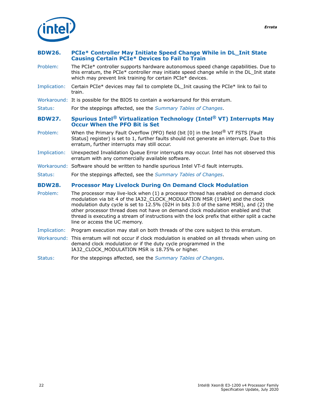

#### <span id="page-21-0"></span>**BDW26. PCIe\* Controller May Initiate Speed Change While in DL\_Init State Causing Certain PCIe\* Devices to Fail to Train**

- Problem: The PCIe\* controller supports hardware autonomous speed change capabilities. Due to this erratum, the PCIe\* controller may initiate speed change while in the DL Init state which may prevent link training for certain PCIe\* devices.
- Implication: Certain PCIe\* devices may fail to complete DL\_Init causing the PCIe\* link to fail to train.
- Workaround: It is possible for the BIOS to contain a workaround for this erratum.
- Status: For the steppings affected, see the *[Summary Tables of Changes](#page-6-0)*.

#### <span id="page-21-1"></span>**BDW27. Spurious Intel® Virtualization Technology (Intel® VT) Interrupts May Occur When the PFO Bit is Set**

- Problem: When the Primary Fault Overflow (PFO) field (bit [0] in the Intel® VT FSTS [Fault Status] register) is set to 1, further faults should not generate an interrupt. Due to this erratum, further interrupts may still occur.
- Implication: Unexpected Invalidation Queue Error interrupts may occur. Intel has not observed this erratum with any commercially available software.
- Workaround: Software should be written to handle spurious Intel VT-d fault interrupts.
- Status: For the steppings affected, see the *[Summary Tables of Changes](#page-6-0)*.

#### <span id="page-21-2"></span>**BDW28. Processor May Livelock During On Demand Clock Modulation**

- Problem: The processor may live-lock when (1) a processor thread has enabled on demand clock modulation via bit 4 of the IA32\_CLOCK\_MODULATION MSR (19AH) and the clock modulation duty cycle is set to 12.5% (02H in bits 3:0 of the same MSR), and (2) the other processor thread does not have on demand clock modulation enabled and that thread is executing a stream of instructions with the lock prefix that either split a cache line or access the UC memory.
- Implication: Program execution may stall on both threads of the core subject to this erratum.
- Workaround: This erratum will not occur if clock modulation is enabled on all threads when using on demand clock modulation or if the duty cycle programmed in the IA32\_CLOCK\_MODULATION MSR is 18.75% or higher.
- Status: For the steppings affected, see the *[Summary Tables of Changes](#page-6-0)*.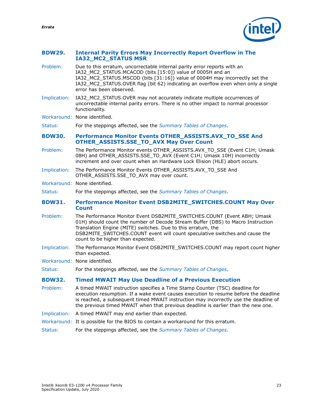*Errata*

#### <span id="page-22-0"></span>**BDW29. Internal Parity Errors May Incorrectly Report Overflow in The IA32\_MC2\_STATUS MSR**

- Problem: Due to this erratum, uncorrectable internal parity error reports with an IA32\_MC2\_STATUS.MCACOD (bits [15:0]) value of 0005H and an IA32\_MC2\_STATUS.MSCOD (bits [31:16]) value of 0004H may incorrectly set the IA32\_MC2\_STATUS.OVER flag (bit 62) indicating an overflow even when only a single error has been observed.
- Implication: IA32\_MC2\_STATUS.OVER may not accurately indicate multiple occurrences of uncorrectable internal parity errors. There is no other impact to normal processor functionality.

Workaround: None identified.

Status: For the steppings affected, see the *[Summary Tables of Changes](#page-6-0)*.

#### <span id="page-22-1"></span>**BDW30. Performance Monitor Events OTHER\_ASSISTS.AVX\_TO\_SSE And OTHER\_ASSISTS.SSE\_TO\_AVX May Over Count**

- Problem: The Performance Monitor events OTHER\_ASSISTS.AVX\_TO\_SSE (Event C1H; Umask 08H) and OTHER\_ASSISTS.SSE\_TO\_AVX (Event C1H; Umask 10H) incorrectly increment and over count when an Hardware Lock Elision (HLE) abort occurs.
- Implication: The Performance Monitor Events OTHER\_ASSISTS.AVX\_TO\_SSE And OTHER\_ASSISTS.SSE\_TO\_AVX may over count.
- Workaround: None identified.

Status: For the steppings affected, see the *[Summary Tables of Changes](#page-6-0)*.

#### <span id="page-22-2"></span>**BDW31. Performance Monitor Event DSB2MITE\_SWITCHES.COUNT May Over Count**

- Problem: The Performance Monitor Event DSB2MITE\_SWITCHES.COUNT (Event ABH; Umask 01H) should count the number of Decode Stream Buffer (DBS) to Macro Instruction Translation Engine (MITE) switches. Due to this erratum, the DSB2MITE\_SWITCHES.COUNT event will count speculative switches and cause the count to be higher than expected.
- Implication: The Performance Monitor Event DSB2MITE\_SWITCHES.COUNT may report count higher than expected.
- Workaround: None identified.

Status: For the steppings affected, see the *[Summary Tables of Changes](#page-6-0)*.

#### <span id="page-22-3"></span>**BDW32. Timed MWAIT May Use Deadline of a Previous Execution**

- Problem: A timed MWAIT instruction specifies a Time Stamp Counter (TSC) deadline for execution resumption. If a wake event causes execution to resume before the deadline is reached, a subsequent timed MWAIT instruction may incorrectly use the deadline of the previous timed MWAIT when that previous deadline is earlier than the new one.
- Implication: A timed MWAIT may end earlier than expected.
- Workaround: It is possible for the BIOS to contain a workaround for this erratum.
- Status: For the steppings affected, see the *[Summary Tables of Changes](#page-6-0)*.

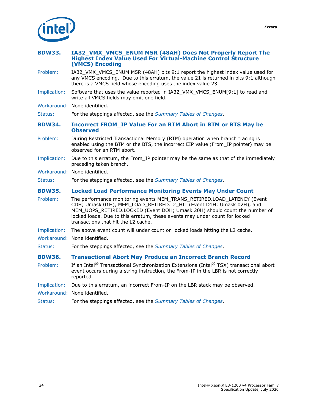

<span id="page-23-3"></span><span id="page-23-2"></span><span id="page-23-1"></span><span id="page-23-0"></span>

| <b>BDW33.</b> | IA32_VMX_VMCS_ENUM MSR (48AH) Does Not Properly Report The<br><b>Highest Index Value Used For Virtual-Machine Control Structure</b><br>(VMCS) Encoding                                                                                                                                                                                            |
|---------------|---------------------------------------------------------------------------------------------------------------------------------------------------------------------------------------------------------------------------------------------------------------------------------------------------------------------------------------------------|
| Problem:      | IA32_VMX_VMCS_ENUM MSR (48AH) bits 9:1 report the highest index value used for<br>any VMCS encoding. Due to this erratum, the value 21 is returned in bits 9:1 although<br>there is a VMCS field whose encoding uses the index value 23.                                                                                                          |
| Implication:  | Software that uses the value reported in IA32_VMX_VMCS_ENUM[9:1] to read and<br>write all VMCS fields may omit one field.                                                                                                                                                                                                                         |
|               | Workaround: None identified.                                                                                                                                                                                                                                                                                                                      |
| Status:       | For the steppings affected, see the Summary Tables of Changes.                                                                                                                                                                                                                                                                                    |
| <b>BDW34.</b> | <b>Incorrect FROM IP Value For an RTM Abort in BTM or BTS May be</b><br><b>Observed</b>                                                                                                                                                                                                                                                           |
| Problem:      | During Restricted Transactional Memory (RTM) operation when branch tracing is<br>enabled using the BTM or the BTS, the incorrect EIP value (From IP pointer) may be<br>observed for an RTM abort.                                                                                                                                                 |
| Implication:  | Due to this erratum, the From_IP pointer may be the same as that of the immediately<br>preceding taken branch.                                                                                                                                                                                                                                    |
|               | Workaround: None identified.                                                                                                                                                                                                                                                                                                                      |
| Status:       | For the steppings affected, see the Summary Tables of Changes.                                                                                                                                                                                                                                                                                    |
| <b>BDW35.</b> | <b>Locked Load Performance Monitoring Events May Under Count</b>                                                                                                                                                                                                                                                                                  |
| Problem:      | The performance monitoring events MEM_TRANS_RETIRED.LOAD_LATENCY (Event<br>CDH; Umask 01H), MEM_LOAD_RETIRED.L2_HIT (Event D1H; Umask 02H), and<br>MEM UOPS RETIRED.LOCKED (Event DOH; Umask 20H) should count the number of<br>locked loads. Due to this erratum, these events may under count for locked<br>transactions that hit the L2 cache. |
| Implication:  | The above event count will under count on locked loads hitting the L2 cache.                                                                                                                                                                                                                                                                      |
|               | Workaround: None identified.                                                                                                                                                                                                                                                                                                                      |
| Status:       | For the steppings affected, see the Summary Tables of Changes.                                                                                                                                                                                                                                                                                    |
| <b>BDW36.</b> | <b>Transactional Abort May Produce an Incorrect Branch Record</b>                                                                                                                                                                                                                                                                                 |
| Problem:      | If an Intel <sup>®</sup> Transactional Synchronization Extensions (Intel® TSX) transactional abort<br>event occurs during a string instruction, the From-IP in the LBR is not correctly<br>reported.                                                                                                                                              |
| Implication:  | Due to this erratum, an incorrect From-IP on the LBR stack may be observed.                                                                                                                                                                                                                                                                       |
|               | Workaround: None identified.                                                                                                                                                                                                                                                                                                                      |
| Status:       | For the steppings affected, see the Summary Tables of Changes.                                                                                                                                                                                                                                                                                    |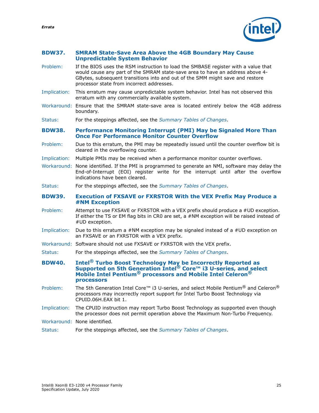*Errata*

- <span id="page-24-0"></span>**BDW37. SMRAM State-Save Area Above the 4GB Boundary May Cause Unpredictable System Behavior**
- Problem: If the BIOS uses the RSM instruction to load the SMBASE register with a value that would cause any part of the SMRAM state-save area to have an address above 4- GBytes, subsequent transitions into and out of the SMM might save and restore processor state from incorrect addresses.
- Implication: This erratum may cause unpredictable system behavior. Intel has not observed this erratum with any commercially available system.
- Workaround: Ensure that the SMRAM state-save area is located entirely below the 4GB address boundary.
- Status: For the steppings affected, see the *[Summary Tables of Changes](#page-6-0)*.

<span id="page-24-1"></span>**BDW38. Performance Monitoring Interrupt (PMI) May be Signaled More Than Once For Performance Monitor Counter Overflow**

- Problem: Due to this erratum, the PMI may be repeatedly issued until the counter overflow bit is cleared in the overflowing counter.
- Implication: Multiple PMIs may be received when a performance monitor counter overflows.
- Workaround: None identified. If the PMI is programmed to generate an NMI, software may delay the End-of-Interrupt (EOI) register write for the interrupt until after the overflow indications have been cleared.
- Status: For the steppings affected, see the *[Summary Tables of Changes](#page-6-0)*.
- <span id="page-24-2"></span>**BDW39. Execution of FXSAVE or FXRSTOR With the VEX Prefix May Produce a #NM Exception**
- Problem: Attempt to use FXSAVE or FXRSTOR with a VEX prefix should produce a #UD exception. If either the TS or EM flag bits in CR0 are set, a #NM exception will be raised instead of #UD exception.
- Implication: Due to this erratum a #NM exception may be signaled instead of a #UD exception on an FXSAVE or an FXRSTOR with a VEX prefix.
- Workaround: Software should not use FXSAVE or FXRSTOR with the VEX prefix.
- Status: For the steppings affected, see the *[Summary Tables of Changes](#page-6-0)*.

<span id="page-24-3"></span>**BDW40. Intel® Turbo Boost Technology May be Incorrectly Reported as Supported on 5th Generation Intel® Core™ i3 U-series, and select Mobile Intel Pentium® processors and Mobile Intel Celeron® processors**

- Problem: The 5th Generation Intel Core™ i3 U-series, and select Mobile Pentium® and Celeron® processors may incorrectly report support for Intel Turbo Boost Technology via CPUID.06H.EAX bit 1.
- Implication: The CPUID instruction may report Turbo Boost Technology as supported even though the processor does not permit operation above the Maximum Non-Turbo Frequency.
- Workaround: None identified.
- Status: For the steppings affected, see the *[Summary Tables of Changes](#page-6-0)*.

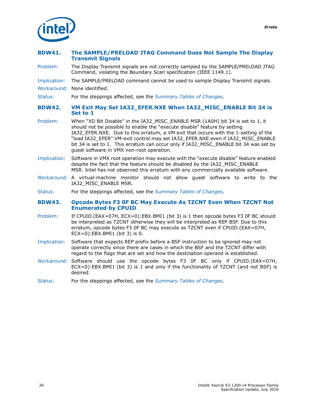

#### <span id="page-25-0"></span>**BDW41. The SAMPLE/PRELOAD JTAG Command Does Not Sample The Display Transmit Signals**

Problem: The Display Transmit signals are not correctly sampled by the SAMPLE/PRELOAD JTAG Command, violating the Boundary Scan specification (IEEE 1149.1).

Implication: The SAMPLE/PRELOAD command cannot be used to sample Display Transmit signals.

Workaround: None identified.

Status: For the steppings affected, see the *[Summary Tables of Changes](#page-6-0)*.

#### <span id="page-25-1"></span>**BDW42. VM Exit May Set IA32\_EFER.NXE When IA32\_MISC\_ENABLE Bit 34 is Set to 1**

- Problem: When "XD Bit Disable" in the IA32\_MISC\_ENABLE MSR (1A0H) bit 34 is set to 1, it should not be possible to enable the "execute disable" feature by setting IA32\_EFER.NXE. Due to this erratum, a VM exit that occurs with the 1-setting of the "load IA32\_EFER" VM-exit control may set IA32\_EFER.NXE even if IA32\_MISC\_ENABLE bit 34 is set to 1. This erratum can occur only if IA32 MISC\_ENABLE bit 34 was set by guest software in VMX non-root operation.
- Implication: Software in VMX root operation may execute with the "execute disable" feature enabled despite the fact that the feature should be disabled by the IA32\_MISC\_ENABLE MSR. Intel has not observed this erratum with any commercially available software.
- Workaround: A virtual-machine monitor should not allow guest software to write to the IA32\_MISC\_ENABLE MSR.
- Status: For the steppings affected, see the *[Summary Tables of Changes](#page-6-0)*.

#### <span id="page-25-2"></span>**BDW43. Opcode Bytes F3 0F BC May Execute As TZCNT Even When TZCNT Not Enumerated by CPUID**

- Problem: If CPUID.(EAX=07H, ECX=0):EBX.BMI1 (bit 3) is 1 then opcode bytes F3 0F BC should be interpreted as TZCNT otherwise they will be interpreted as REP BSF. Due to this erratum, opcode bytes F3 0F BC may execute as TZCNT even if CPUID.(EAX=07H,  $ECX=0$ : EBX.BMI1 (bit 3) is 0.
- Implication: Software that expects REP prefix before a BSF instruction to be ignored may not operate correctly since there are cases in which the BSF and the TZCNT differ with regard to the flags that are set and how the destination operand is established.
- Workaround: Software should use the opcode bytes F3 0F BC only if CPUID.(EAX=07H, ECX=0):EBX.BMI1 (bit 3) is 1 and only if the functionality of TZCNT (and not BSF) is desired.
- Status: For the steppings affected, see the *[Summary Tables of Changes](#page-6-0)*.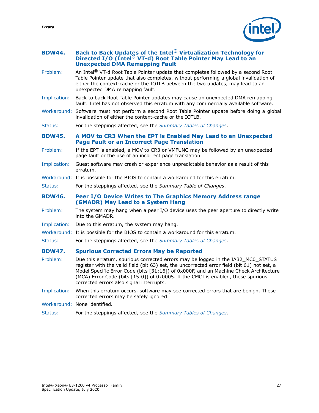- <span id="page-26-0"></span>**BDW44. Back to Back Updates of the Intel® Virtualization Technology for Directed I/O (Intel® VT-d) Root Table Pointer May Lead to an Unexpected DMA Remapping Fault**
- Problem: An Intel® VT-d Root Table Pointer update that completes followed by a second Root Table Pointer update that also completes, without performing a global invalidation of either the context-cache or the IOTLB between the two updates, may lead to an unexpected DMA remapping fault.
- Implication: Back to back Root Table Pointer updates may cause an unexpected DMA remapping fault. Intel has not observed this erratum with any commercially available software.
- Workaround: Software must not perform a second Root Table Pointer update before doing a global invalidation of either the context-cache or the IOTLB.

Status: For the steppings affected, see the *[Summary Tables of Changes](#page-6-0)*.

#### <span id="page-26-1"></span>**BDW45. A MOV to CR3 When the EPT is Enabled May Lead to an Unexpected Page Fault or an Incorrect Page Translation**

- Problem: If the EPT is enabled, a MOV to CR3 or VMFUNC may be followed by an unexpected page fault or the use of an incorrect page translation.
- Implication: Guest software may crash or experience unpredictable behavior as a result of this erratum.
- Workaround: It is possible for the BIOS to contain a workaround for this erratum.
- Status: For the steppings affected, see the *Summary Table of Changes*.

#### <span id="page-26-2"></span>**BDW46. Peer I/O Device Writes to The Graphics Memory Address range (GMADR) May Lead to a System Hang**

- Problem: The system may hang when a peer I/O device uses the peer aperture to directly write into the GMADR.
- Implication: Due to this erratum, the system may hang.
- Workaround: It is possible for the BIOS to contain a workaround for this erratum.
- Status: For the steppings affected, see the *[Summary Tables of Changes](#page-6-0)*.

#### <span id="page-26-3"></span>**BDW47. Spurious Corrected Errors May be Reported**

- Problem: Due this erratum, spurious corrected errors may be logged in the IA32\_MC0\_STATUS register with the valid field (bit 63) set, the uncorrected error field (bit 61) not set, a Model Specific Error Code (bits [31:16]) of 0x000F, and an Machine Check Architecture (MCA) Error Code (bits [15:0]) of 0x0005. If the CMCI is enabled, these spurious corrected errors also signal interrupts.
- Implication: When this erratum occurs, software may see corrected errors that are benign. These corrected errors may be safely ignored.
- Workaround: None identified.
- Status: For the steppings affected, see the *[Summary Tables of Changes](#page-6-0)*.

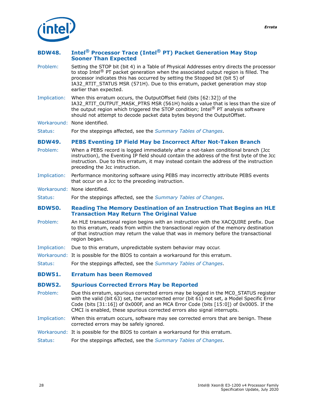

#### <span id="page-27-0"></span>**BDW48. Intel® Processor Trace (Intel® PT) Packet Generation May Stop Sooner Than Expected**

- Problem: Setting the STOP bit (bit 4) in a Table of Physical Addresses entry directs the processor to stop Intel<sup>®</sup> PT packet generation when the associated output region is filled. The processor indicates this has occurred by setting the Stopped bit (bit 5) of IA32\_RTIT\_STATUS MSR (571H). Due to this erratum, packet generation may stop earlier than expected.
- Implication: When this erratum occurs, the OutputOffset field (bits [62:32]) of the IA32\_RTIT\_OUTPUT\_MASK\_PTRS MSR (561H) holds a value that is less than the size of the output region which triggered the STOP condition; Intel® PT analysis software should not attempt to decode packet data bytes beyond the OutputOffset.
- Workaround: None identified.

Status: For the steppings affected, see the *[Summary Tables of Changes](#page-6-0)*.

#### <span id="page-27-1"></span>**BDW49. PEBS Eventing IP Field May be Incorrect After Not-Taken Branch**

- Problem: When a PEBS record is logged immediately after a not-taken conditional branch (Jcc instruction), the Eventing IP field should contain the address of the first byte of the Jcc instruction. Due to this erratum, it may instead contain the address of the instruction preceding the Jcc instruction.
- Implication: Performance monitoring software using PEBS may incorrectly attribute PEBS events that occur on a Jcc to the preceding instruction.
- Workaround: None identified.
- Status: For the steppings affected, see the *[Summary Tables of Changes](#page-6-0)*.

#### <span id="page-27-2"></span>**BDW50. Reading The Memory Destination of an Instruction That Begins an HLE Transaction May Return The Original Value**

- Problem: An HLE transactional region begins with an instruction with the XACQUIRE prefix. Due to this erratum, reads from within the transactional region of the memory destination of that instruction may return the value that was in memory before the transactional region began.
- Implication: Due to this erratum, unpredictable system behavior may occur.
- Workaround: It is possible for the BIOS to contain a workaround for this erratum.
- Status: For the steppings affected, see the *[Summary Tables of Changes](#page-6-0)*.
- <span id="page-27-3"></span>**BDW51. Erratum has been Removed**

#### <span id="page-27-4"></span>**BDW52. Spurious Corrected Errors May be Reported**

- Problem: Due this erratum, spurious corrected errors may be logged in the MC0\_STATUS register with the valid (bit 63) set, the uncorrected error (bit 61) not set, a Model Specific Error Code (bits  $[31:16]$ ) of 0x000F, and an MCA Error Code (bits  $[15:0]$ ) of 0x0005. If the CMCI is enabled, these spurious corrected errors also signal interrupts.
- Implication: When this erratum occurs, software may see corrected errors that are benign. These corrected errors may be safely ignored.
- Workaround: It is possible for the BIOS to contain a workaround for this erratum.
- Status: For the steppings affected, see the *[Summary Tables of Changes](#page-6-0)*.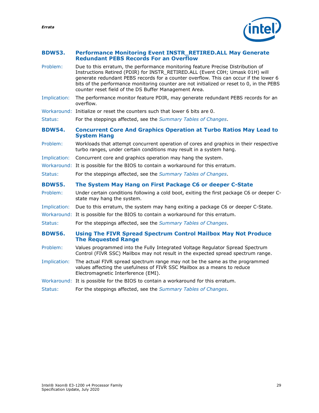#### <span id="page-28-0"></span>**BDW53. Performance Monitoring Event INSTR\_RETIRED.ALL May Generate Redundant PEBS Records For an Overflow**

<span id="page-28-1"></span>

| Problem:      | Due to this erratum, the performance monitoring feature Precise Distribution of<br>Instructions Retired (PDIR) for INSTR RETIRED.ALL (Event C0H; Umask 01H) will<br>generate redundant PEBS records for a counter overflow. This can occur if the lower 6<br>bits of the performance monitoring counter are not initialized or reset to 0, in the PEBS<br>counter reset field of the DS Buffer Management Area. |
|---------------|-----------------------------------------------------------------------------------------------------------------------------------------------------------------------------------------------------------------------------------------------------------------------------------------------------------------------------------------------------------------------------------------------------------------|
| Implication:  | The performance monitor feature PDIR, may generate redundant PEBS records for an<br>overflow.                                                                                                                                                                                                                                                                                                                   |
|               | Workaround: Initialize or reset the counters such that lower 6 bits are 0.                                                                                                                                                                                                                                                                                                                                      |
| Status:       | For the steppings affected, see the Summary Tables of Changes.                                                                                                                                                                                                                                                                                                                                                  |
| <b>BDW54.</b> | <b>Concurrent Core And Graphics Operation at Turbo Ratios May Lead to</b><br><b>System Hang</b>                                                                                                                                                                                                                                                                                                                 |
| Problem:      | Workloads that attempt concurrent operation of cores and graphics in their respective<br>turbo ranges, under certain conditions may result in a system hang.                                                                                                                                                                                                                                                    |
| Implication:  | Concurrent core and graphics operation may hang the system.                                                                                                                                                                                                                                                                                                                                                     |
|               | Workaround: It is possible for the BIOS to contain a workaround for this erratum.                                                                                                                                                                                                                                                                                                                               |
| Status:       | For the steppings affected, see the Summary Tables of Changes.                                                                                                                                                                                                                                                                                                                                                  |
| <b>BDW55.</b> | The System May Hang on First Package C6 or deeper C-State                                                                                                                                                                                                                                                                                                                                                       |
| Problem:      | Under certain conditions following a cold boot, exiting the first package C6 or deeper C-<br>state may hang the system.                                                                                                                                                                                                                                                                                         |
| Implication:  | Due to this erratum, the system may hang exiting a package C6 or deeper C-State.                                                                                                                                                                                                                                                                                                                                |
|               | Workaround: It is possible for the BIOS to contain a workaround for this erratum.                                                                                                                                                                                                                                                                                                                               |
| Status:       | For the steppings affected, see the Summary Tables of Changes.                                                                                                                                                                                                                                                                                                                                                  |
| <b>BDW56.</b> | <b>Using The FIVR Spread Spectrum Control Mailbox May Not Produce</b><br><b>The Requested Range</b>                                                                                                                                                                                                                                                                                                             |
| Problem:      | Values programmed into the Fully Integrated Voltage Regulator Spread Spectrum<br>Control (FIVR SSC) Mailbox may not result in the expected spread spectrum range.                                                                                                                                                                                                                                               |
| Implication:  | The actual FIVR spread spectrum range may not be the same as the programmed<br>values affecting the usefulness of FIVR SSC Mailbox as a means to reduce<br>Electromagnetic Interference (EMI).                                                                                                                                                                                                                  |
|               | Workaround: It is possible for the BIOS to contain a workaround for this erratum.                                                                                                                                                                                                                                                                                                                               |

<span id="page-28-3"></span><span id="page-28-2"></span>Status: For the steppings affected, see the *[Summary Tables of Changes](#page-6-0)*.

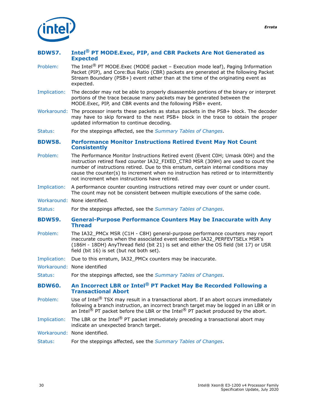

#### <span id="page-29-0"></span>**BDW57. Intel® PT MODE.Exec, PIP, and CBR Packets Are Not Generated as Expected**

- Problem: The Intel® PT MODE.Exec (MODE packet Execution mode leaf), Paging Information Packet (PIP), and Core:Bus Ratio (CBR) packets are generated at the following Packet Stream Boundary (PSB+) event rather than at the time of the originating event as expected.
- Implication: The decoder may not be able to properly disassemble portions of the binary or interpret portions of the trace because many packets may be generated between the MODE.Exec, PIP, and CBR events and the following PSB+ event.
- Workaround: The processor inserts these packets as status packets in the PSB+ block. The decoder may have to skip forward to the next PSB+ block in the trace to obtain the proper updated information to continue decoding.
- Status: For the steppings affected, see the *[Summary Tables of Changes](#page-6-0)*.

#### <span id="page-29-1"></span>**BDW58. Performance Monitor Instructions Retired Event May Not Count Consistently**

- Problem: The Performance Monitor Instructions Retired event (Event C0H; Umask 00H) and the instruction retired fixed counter IA32\_FIXED\_CTR0 MSR (309H) are used to count the number of instructions retired. Due to this erratum, certain internal conditions may cause the counter(s) to increment when no instruction has retired or to intermittently not increment when instructions have retired.
- Implication: A performance counter counting instructions retired may over count or under count. The count may not be consistent between multiple executions of the same code.
- Workaround: None identified.
- Status: For the steppings affected, see the *[Summary Tables of Changes](#page-6-0)*.
- <span id="page-29-2"></span>**BDW59. General-Purpose Performance Counters May be Inaccurate with Any Thread**
- Problem: The IA32\_PMCx MSR (C1H C8H) general-purpose performance counters may report inaccurate counts when the associated event selection IA32\_PERFEVTSELx MSR's (186H - 18DH) AnyThread field (bit 21) is set and either the OS field (bit 17) or USR field (bit 16) is set (but not both set).
- Implication: Due to this erratum, IA32\_PMCx counters may be inaccurate.
- Workaround: None identified
- Status: For the steppings affected, see the *[Summary Tables of Changes](#page-6-0)*.
- <span id="page-29-3"></span>**BDW60. An Incorrect LBR or Intel® PT Packet May Be Recorded Following a Transactional Abort**
- Problem: Use of Intel<sup>®</sup> TSX may result in a transactional abort. If an abort occurs immediately following a branch instruction, an incorrect branch target may be logged in an LBR or in an Intel<sup>®</sup> PT packet before the LBR or the Intel<sup>®</sup> PT packet produced by the abort.
- Implication: The LBR or the Intel<sup>®</sup> PT packet immediately preceding a transactional abort may indicate an unexpected branch target.
- Workaround: None identified.
- Status: For the steppings affected, see the *[Summary Tables of Changes](#page-6-0)*.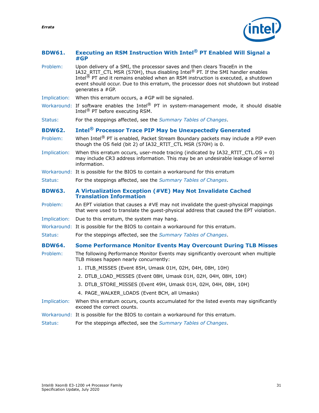#### <span id="page-30-0"></span>**BDW61. Executing an RSM Instruction With Intel® PT Enabled Will Signal a #GP**

- Problem: Upon delivery of a SMI, the processor saves and then clears TraceEn in the IA32\_RTIT\_CTL MSR (570H), thus disabling Intel<sup>®</sup> PT. If the SMI handler enables Intel<sup>®</sup> PT and it remains enabled when an RSM instruction is executed, a shutdown event should occur. Due to this erratum, the processor does not shutdown but instead generates a #GP.
- Implication: When this erratum occurs, a #GP will be signaled.
- Workaround: If software enables the Intel<sup>®</sup> PT in system-management mode, it should disable Intel<sup>®</sup> PT before executing RSM.
- Status: For the steppings affected, see the *[Summary Tables of Changes](#page-6-0)*.

#### <span id="page-30-1"></span>**BDW62. Intel® Processor Trace PIP May be Unexpectedly Generated**

- Problem: When Intel<sup>®</sup> PT is enabled, Packet Stream Boundary packets may include a PIP even though the OS field (bit 2) of IA32\_RTIT\_CTL MSR  $(570H)$  is 0.
- Implication: When this erratum occurs, user-mode tracing (indicated by IA32\_RTIT\_CTL.OS = 0) may include CR3 address information. This may be an undesirable leakage of kernel information.
- Workaround: It is possible for the BIOS to contain a workaround for this erratum
- Status: For the steppings affected, see the *[Summary Tables of Changes](#page-6-0)*.

#### <span id="page-30-2"></span>**BDW63. A Virtualization Exception (#VE) May Not Invalidate Cached Translation Information**

- Problem: An EPT violation that causes a #VE may not invalidate the guest-physical mappings that were used to translate the guest-physical address that caused the EPT violation.
- Implication: Due to this erratum, the system may hang.
- Workaround: It is possible for the BIOS to contain a workaround for this erratum.
- Status: For the steppings affected, see the *[Summary Tables of Changes](#page-6-0)*.

#### <span id="page-30-3"></span>**BDW64. Some Performance Monitor Events May Overcount During TLB Misses**

- Problem: The following Performance Monitor Events may significantly overcount when multiple TLB misses happen nearly concurrently:
	- 1. ITLB\_MISSES (Event 85H, Umask 01H, 02H, 04H, 08H, 10H)
	- 2. DTLB\_LOAD\_MISSES (Event 08H, Umask 01H, 02H, 04H, 08H, 10H)
	- 3. DTLB\_STORE\_MISSES (Event 49H, Umask 01H, 02H, 04H, 08H, 10H)
	- 4. PAGE\_WALKER\_LOADS (Event BCH, all Umasks)
- Implication: When this erratum occurs, counts accumulated for the listed events may significantly exceed the correct counts.
- Workaround: It is possible for the BIOS to contain a workaround for this erratum.
- Status: For the steppings affected, see the *[Summary Tables of Changes](#page-6-0)*.

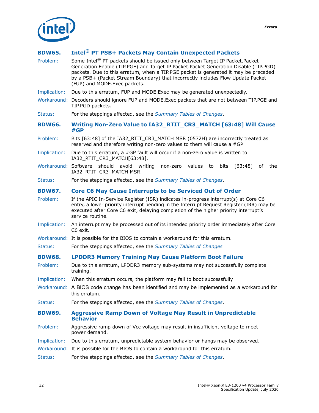

#### <span id="page-31-0"></span>**BDW65. Intel® PT PSB+ Packets May Contain Unexpected Packets**

<span id="page-31-4"></span><span id="page-31-3"></span><span id="page-31-2"></span><span id="page-31-1"></span>Problem: Some Intel<sup>®</sup> PT packets should be issued only between Target IP Packet.Packet Generation Enable (TIP.PGE) and Target IP Packet.Packet Generation Disable (TIP.PGD) packets. Due to this erratum, when a TIP.PGE packet is generated it may be preceded by a PSB+ (Packet Stream Boundary) that incorrectly includes Flow Update Packet (FUP) and MODE.Exec packets. Implication: Due to this erratum, FUP and MODE.Exec may be generated unexpectedly. Workaround: Decoders should ignore FUP and MODE.Exec packets that are not between TIP.PGE and TIP.PGD packets. Status: For the steppings affected, see the *[Summary Tables of Changes](#page-6-0)*. **BDW66. Writing Non-Zero Value to IA32\_RTIT\_CR3\_MATCH [63:48] Will Cause #GP** Problem: Bits [63:48] of the IA32\_RTIT\_CR3\_MATCH MSR (0572H) are incorrectly treated as reserved and therefore writing non-zero values to them will cause a #GP Implication: Due to this erratum, a #GP fault will occur if a non-zero value is written to IA32\_RTIT\_CR3\_MATCH[63:48]. Workaround: Software should avoid writing non-zero values to bits [63:48] of the IA32\_RTIT\_CR3\_MATCH\_MSR. Status: For the steppings affected, see the *[Summary Tables of Changes](#page-6-0)*. **BDW67. Core C6 May Cause Interrupts to be Serviced Out of Order** Problem: If the APIC In-Service Register (ISR) indicates in-progress interrupt(s) at Core C6 entry, a lower priority interrupt pending in the Interrupt Request Register (IRR) may be executed after Core C6 exit, delaying completion of the higher priority interrupt's service routine. Implication: An interrupt may be processed out of its intended priority order immediately after Core C6 exit. Workaround: It is possible for the BIOS to contain a workaround for this erratum. Status: For the steppings affected, see the *[Summary Tables of Changes](#page-6-0)* **BDW68. LPDDR3 Memory Training May Cause Platform Boot Failure** Problem: Due to this erratum, LPDDR3 memory sub-systems may not successfully complete training. Implication: When this erratum occurs, the platform may fail to boot successfully Workaround: A BIOS code change has been identified and may be implemented as a workaround for this erratum. Status: For the steppings affected, see the *[Summary Tables of Changes](#page-6-0)*. **BDW69. Aggressive Ramp Down of Voltage May Result in Unpredictable Behavior** Problem: Aggressive ramp down of Vcc voltage may result in insufficient voltage to meet power demand. Implication: Due to this erratum, unpredictable system behavior or hangs may be observed. Workaround: It is possible for the BIOS to contain a workaround for this erratum. Status: For the steppings affected, see the *[Summary Tables of Changes](#page-6-0)*.

*Errata*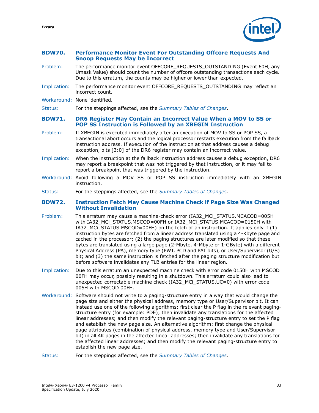

#### <span id="page-32-0"></span>**BDW70. Performance Monitor Event For Outstanding Offcore Requests And Snoop Requests May be Incorrect**

- Problem: The performance monitor event OFFCORE\_REQUESTS\_OUTSTANDING (Event 60H, any Umask Value) should count the number of offcore outstanding transactions each cycle. Due to this erratum, the counts may be higher or lower than expected.
- Implication: The performance monitor event OFFCORE\_REQUESTS\_OUTSTANDING may reflect an incorrect count.
- Workaround: None identified.

Status: For the steppings affected, see the *[Summary Tables of Changes](#page-6-0)*.

#### <span id="page-32-1"></span>**BDW71. DR6 Register May Contain an Incorrect Value When a MOV to SS or POP SS Instruction is Followed by an XBEGIN Instruction**

- Problem: If XBEGIN is executed immediately after an execution of MOV to SS or POP SS, a transactional abort occurs and the logical processor restarts execution from the fallback instruction address. If execution of the instruction at that address causes a debug exception, bits [3:0] of the DR6 register may contain an incorrect value.
- Implication: When the instruction at the fallback instruction address causes a debug exception, DR6 may report a breakpoint that was not triggered by that instruction, or it may fail to report a breakpoint that was triggered by the instruction.
- Workaround: Avoid following a MOV SS or POP SS instruction immediately with an XBEGIN instruction.
- Status: For the steppings affected, see the *[Summary Tables of Changes](#page-6-0)*.

#### <span id="page-32-2"></span>**BDW72. Instruction Fetch May Cause Machine Check if Page Size Was Changed Without Invalidation**

- Problem: This erratum may cause a machine-check error (IA32\_MCi\_STATUS.MCACOD=005H with IA32\_MCi\_STATUS.MSCOD=00FH or IA32\_MCi\_STATUS.MCACOD=0150H with IA32\_MCi\_STATUS.MSCOD=00FH) on the fetch of an instruction. It applies only if (1) instruction bytes are fetched from a linear address translated using a 4-Kbyte page and cached in the processor; (2) the paging structures are later modified so that these bytes are translated using a large page (2-Mbyte, 4-Mbyte or 1-GByte) with a different Physical Address (PA), memory type (PWT, PCD and PAT bits), or User/Supervisor (U/S) bit; and (3) the same instruction is fetched after the paging structure modification but before software invalidates any TLB entries for the linear region.
- Implication: Due to this erratum an unexpected machine check with error code 0150H with MSCOD 00FH may occur, possibly resulting in a shutdown. This erratum could also lead to unexpected correctable machine check (IA32\_MCi\_STATUS.UC=0) with error code 005H with MSCOD 00FH.
- Workaround: Software should not write to a paging-structure entry in a way that would change the page size and either the physical address, memory type or User/Supervisor bit. It can instead use one of the following algorithms: first clear the P flag in the relevant pagingstructure entry (for example: PDE); then invalidate any translations for the affected linear addresses; and then modify the relevant paging-structure entry to set the P flag and establish the new page size. An alternative algorithm: first change the physical page attributes (combination of physical address, memory type and User/Supervisor bit) in all 4K pages in the affected linear addresses; then invalidate any translations for the affected linear addresses; and then modify the relevant paging-structure entry to establish the new page size.

Status: For the steppings affected, see the *[Summary Tables of Changes](#page-6-0)*.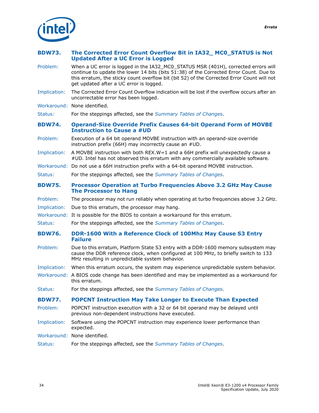

#### <span id="page-33-0"></span>**BDW73. The Corrected Error Count Overflow Bit in IA32\_ MC0\_STATUS is Not Updated After a UC Error is Logged**

- Problem: When a UC error is logged in the IA32\_MC0\_STATUS MSR (401H), corrected errors will continue to update the lower 14 bits (bits 51:38) of the Corrected Error Count. Due to this erratum, the sticky count overflow bit (bit 52) of the Corrected Error Count will not get updated after a UC error is logged.
- Implication: The Corrected Error Count Overflow indication will be lost if the overflow occurs after an uncorrectable error has been logged.
- Workaround: None identified.

Status: For the steppings affected, see the *[Summary Tables of Changes](#page-6-0)*.

#### <span id="page-33-1"></span>**BDW74. Operand-Size Override Prefix Causes 64-bit Operand Form of MOVBE Instruction to Cause a #UD**

- Problem: Execution of a 64 bit operand MOVBE instruction with an operand-size override instruction prefix (66H) may incorrectly cause an #UD.
- Implication: A MOVBE instruction with both REX.W=1 and a 66H prefix will unexpectedly cause a #UD. Intel has not observed this erratum with any commercially available software.
- Workaround: Do not use a 66H instruction prefix with a 64-bit operand MOVBE instruction.
- Status: For the steppings affected, see the *[Summary Tables of Changes](#page-6-0)*.
- <span id="page-33-2"></span>**BDW75. Processor Operation at Turbo Frequencies Above 3.2 GHz May Cause The Processor to Hang**
- Problem: The processor may not run reliably when operating at turbo frequencies above 3.2 GHz.
- Implication: Due to this erratum, the processor may hang.
- Workaround: It is possible for the BIOS to contain a workaround for this erratum.
- Status: For the steppings affected, see the *[Summary Tables of Changes](#page-6-0)*.

#### <span id="page-33-3"></span>**BDW76. DDR-1600 With a Reference Clock of 100Mhz May Cause S3 Entry Failure**

- Problem: Due to this erratum, Platform State S3 entry with a DDR-1600 memory subsystem may cause the DDR reference clock, when configured at 100 MHz, to briefly switch to 133 MHz resulting in unpredictable system behavior.
- Implication: When this erratum occurs, the system may experience unpredictable system behavior.
- Workaround: A BIOS code change has been identified and may be implemented as a workaround for this erratum.
- Status: For the steppings affected, see the *[Summary Tables of Changes](#page-6-0)*.

#### <span id="page-33-4"></span>**BDW77. POPCNT Instruction May Take Longer to Execute Than Expected**

- Problem: POPCNT instruction execution with a 32 or 64 bit operand may be delayed until previous non-dependent instructions have executed.
- Implication: Software using the POPCNT instruction may experience lower performance than expected.
- Workaround: None identified.
- Status: For the steppings affected, see the *[Summary Tables of Changes](#page-6-0)*.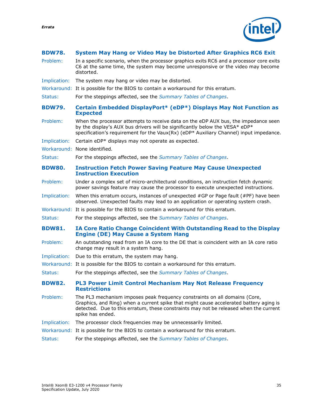

<span id="page-34-4"></span><span id="page-34-3"></span><span id="page-34-2"></span><span id="page-34-1"></span><span id="page-34-0"></span>

| <b>BDW78.</b> | System May Hang or Video May be Distorted After Graphics RC6 Exit                                                                                                                                                                                                                 |
|---------------|-----------------------------------------------------------------------------------------------------------------------------------------------------------------------------------------------------------------------------------------------------------------------------------|
| Problem:      | In a specific scenario, when the processor graphics exits RC6 and a processor core exits<br>C6 at the same time, the system may become unresponsive or the video may become<br>distorted.                                                                                         |
| Implication:  | The system may hang or video may be distorted.                                                                                                                                                                                                                                    |
|               | Workaround: It is possible for the BIOS to contain a workaround for this erratum.                                                                                                                                                                                                 |
| Status:       | For the steppings affected, see the Summary Tables of Changes.                                                                                                                                                                                                                    |
| <b>BDW79.</b> | Certain Embedded DisplayPort* (eDP*) Displays May Not Function as<br><b>Expected</b>                                                                                                                                                                                              |
| Problem:      | When the processor attempts to receive data on the eDP AUX bus, the impedance seen<br>by the display's AUX bus drivers will be significantly below the VESA* eDP*<br>specification's requirement for the Vaux(Rx) (eDP* Auxiliary Channel) input impedance.                       |
| Implication:  | Certain eDP* displays may not operate as expected.                                                                                                                                                                                                                                |
|               | Workaround: None identified.                                                                                                                                                                                                                                                      |
| Status:       | For the steppings affected, see the Summary Tables of Changes.                                                                                                                                                                                                                    |
| <b>BDW80.</b> | <b>Instruction Fetch Power Saving Feature May Cause Unexpected</b><br><b>Instruction Execution</b>                                                                                                                                                                                |
| Problem:      | Under a complex set of micro-architectural conditions, an instruction fetch dynamic<br>power savings feature may cause the processor to execute unexpected instructions.                                                                                                          |
| Implication:  | When this erratum occurs, instances of unexpected $#GP$ or Page fault ( $#PF$ ) have been<br>observed. Unexpected faults may lead to an application or operating system crash.                                                                                                    |
|               | Workaround: It is possible for the BIOS to contain a workaround for this erratum.                                                                                                                                                                                                 |
| Status:       | For the steppings affected, see the Summary Tables of Changes.                                                                                                                                                                                                                    |
| <b>BDW81.</b> | IA Core Ratio Change Coincident With Outstanding Read to the Display<br><b>Engine (DE) May Cause a System Hang</b>                                                                                                                                                                |
| Problem:      | An outstanding read from an IA core to the DE that is coincident with an IA core ratio<br>change may result in a system hang.                                                                                                                                                     |
| Implication:  | Due to this erratum, the system may hang.                                                                                                                                                                                                                                         |
|               | Workaround: It is possible for the BIOS to contain a workaround for this erratum.                                                                                                                                                                                                 |
| Status:       | For the steppings affected, see the Summary Tables of Changes.                                                                                                                                                                                                                    |
| <b>BDW82.</b> | PL3 Power Limit Control Mechanism May Not Release Frequency<br><b>Restrictions</b>                                                                                                                                                                                                |
| Problem:      | The PL3 mechanism imposes peak frequency constraints on all domains (Core,<br>Graphics, and Ring) when a current spike that might cause accelerated battery aging is<br>detected. Due to this erratum, these constraints may not be released when the current<br>spike has ended. |
| Implication:  | The processor clock frequencies may be unnecessarily limited.                                                                                                                                                                                                                     |
|               | Workaround: It is possible for the BIOS to contain a workaround for this erratum.                                                                                                                                                                                                 |
| Status:       | For the steppings affected, see the Summary Tables of Changes.                                                                                                                                                                                                                    |
|               |                                                                                                                                                                                                                                                                                   |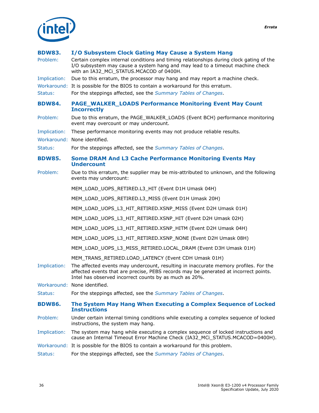

### <span id="page-35-3"></span><span id="page-35-2"></span><span id="page-35-1"></span><span id="page-35-0"></span>**BDW83. I/O Subsystem Clock Gating May Cause a System Hang** Problem: Certain complex internal conditions and timing relationships during clock gating of the I/O subsystem may cause a system hang and may lead to a timeout machine check with an IA32\_MCi\_STATUS.MCACOD of 0400H. Implication: Due to this erratum, the processor may hang and may report a machine check. Workaround: It is possible for the BIOS to contain a workaround for this erratum. Status: For the steppings affected, see the *[Summary Tables of Changes](#page-6-0)*. **BDW84. PAGE\_WALKER\_LOADS Performance Monitoring Event May Count Incorrectly** Problem: Due to this erratum, the PAGE\_WALKER\_LOADS (Event BCH) performance monitoring event may overcount or may undercount. Implication: These performance monitoring events may not produce reliable results. Workaround: None identified. Status: For the steppings affected, see the *[Summary Tables of Changes](#page-6-0)*. **BDW85. Some DRAM And L3 Cache Performance Monitoring Events May Undercount** Problem: Due to this erratum, the supplier may be mis-attributed to unknown, and the following events may undercount: MEM\_LOAD\_UOPS\_RETIRED.L3\_HIT (Event D1H Umask 04H) MEM\_LOAD\_UOPS\_RETIRED.L3\_MISS (Event D1H Umask 20H) MEM\_LOAD\_UOPS\_L3\_HIT\_RETIRED.XSNP\_MISS (Event D2H Umask 01H) MEM\_LOAD\_UOPS\_L3\_HIT\_RETIRED.XSNP\_HIT (Event D2H Umask 02H) MEM\_LOAD\_UOPS\_L3\_HIT\_RETIRED.XSNP\_HITM (Event D2H Umask 04H) MEM\_LOAD\_UOPS\_L3\_HIT\_RETIRED.XSNP\_NONE (Event D2H Umask 08H) MEM\_LOAD\_UOPS\_L3\_MISS\_RETIRED.LOCAL\_DRAM (Event D3H Umask 01H) MEM\_TRANS\_RETIRED.LOAD\_LATENCY (Event CDH Umask 01H) Implication: The affected events may undercount, resulting in inaccurate memory profiles. For the affected events that are precise, PEBS records may be generated at incorrect points. Intel has observed incorrect counts by as much as 20%. Workaround: None identified. Status: For the steppings affected, see the *[Summary Tables of Changes](#page-6-0)*. **BDW86. The System May Hang When Executing a Complex Sequence of Locked Instructions** Problem: Under certain internal timing conditions while executing a complex sequence of locked instructions, the system may hang. Implication: The system may hang while executing a complex sequence of locked instructions and cause an Internal Timeout Error Machine Check (IA32 MCi STATUS.MCACOD=0400H). Workaround: It is possible for the BIOS to contain a workaround for this problem.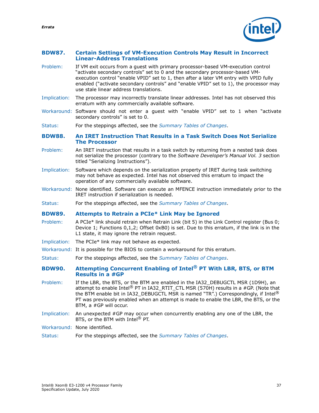#### <span id="page-36-0"></span>**BDW87. Certain Settings of VM-Execution Controls May Result in Incorrect Linear-Address Translations**

- Problem: If VM exit occurs from a guest with primary processor-based VM-execution control "activate secondary controls" set to 0 and the secondary processor-based VMexecution control "enable VPID" set to 1, then after a later VM entry with VPID fully enabled ("activate secondary controls" and "enable VPID" set to 1), the processor may use stale linear address translations.
- Implication: The processor may incorrectly translate linear addresses. Intel has not observed this erratum with any commercially available software.
- Workaround: Software should not enter a guest with "enable VPID" set to 1 when "activate secondary controls" is set to 0.

Status: For the steppings affected, see the *[Summary Tables of Changes](#page-6-0)*.

#### <span id="page-36-1"></span>**BDW88. An IRET Instruction That Results in a Task Switch Does Not Serialize The Processor**

- Problem: An IRET instruction that results in a task switch by returning from a nested task does not serialize the processor (contrary to the *Software Developer's Manual Vol. 3* section titled "Serializing Instructions").
- Implication: Software which depends on the serialization property of IRET during task switching may not behave as expected. Intel has not observed this erratum to impact the operation of any commercially available software.
- Workaround: None identified. Software can execute an MFENCE instruction immediately prior to the IRET instruction if serialization is needed.
- Status: For the steppings affected, see the *[Summary Tables of Changes](#page-6-0)*.

#### <span id="page-36-2"></span>**BDW89. Attempts to Retrain a PCIe\* Link May be Ignored**

- Problem: A PCIe\* link should retrain when Retrain Link (bit 5) in the Link Control register (Bus 0; Device 1; Functions 0,1,2; Offset 0xB0) is set. Due to this erratum, if the link is in the L1 state, it may ignore the retrain request.
- Implication: The PCIe\* link may not behave as expected.
- Workaround: It is possible for the BIOS to contain a workaround for this erratum.
- Status: For the steppings affected, see the *[Summary Tables of Changes](#page-6-0)*.

#### <span id="page-36-3"></span>**BDW90. Attempting Concurrent Enabling of Intel® PT With LBR, BTS, or BTM Results in a #GP**

- Problem: If the LBR, the BTS, or the BTM are enabled in the IA32\_DEBUGCTL MSR (1D9H), an attempt to enable Intel® PT in IA32\_RTIT\_CTL MSR (570H) results in a #GP. (Note that the BTM enable bit in IA32\_DEBUGCTL MSR is named "TR".) Correspondingly, if Intel<sup>®</sup> PT was previously enabled when an attempt is made to enable the LBR, the BTS, or the BTM, a #GP will occur.
- Implication: An unexpected #GP may occur when concurrently enabling any one of the LBR, the BTS, or the BTM with Intel<sup>®</sup> PT.
- Workaround: None identified.
- Status: For the steppings affected, see the *[Summary Tables of Changes](#page-6-0)*.

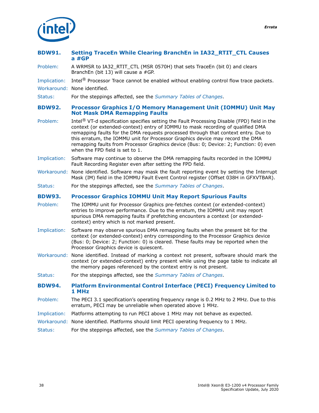

#### <span id="page-37-0"></span>**BDW91. Setting TraceEn While Clearing BranchEn in IA32\_RTIT\_CTL Causes a #GP**

Problem: A WRMSR to IA32\_RTIT\_CTL (MSR 0570H) that sets TraceEn (bit 0) and clears BranchEn (bit 13) will cause a #GP.

Implication: Intel® Processor Trace cannot be enabled without enabling control flow trace packets.

Workaround: None identified.

Status: For the steppings affected, see the *[Summary Tables of Changes](#page-6-0)*.

#### <span id="page-37-1"></span>**BDW92. Processor Graphics I/O Memory Management Unit (IOMMU) Unit May Not Mask DMA Remapping Faults**

- Problem: Intel<sup>®</sup> VT-d specification specifies setting the Fault Processing Disable (FPD) field in the context (or extended-context) entry of IOMMU to mask recording of qualified DMA remapping faults for the DMA requests processed through that context entry. Due to this erratum, the IOMMU unit for Processor Graphics device may record the DMA remapping faults from Processor Graphics device (Bus: 0; Device: 2; Function: 0) even when the FPD field is set to 1.
- Implication: Software may continue to observe the DMA remapping faults recorded in the IOMMU Fault Recording Register even after setting the FPD field.
- Workaround: None identified. Software may mask the fault reporting event by setting the Interrupt Mask (IM) field in the IOMMU Fault Event Control register (Offset 038H in GFXVTBAR).
- Status: For the steppings affected, see the *[Summary Tables of Changes](#page-6-0)*.

#### <span id="page-37-2"></span>**BDW93. Processor Graphics IOMMU Unit May Report Spurious Faults**

- Problem: The IOMMU unit for Processor Graphics pre-fetches context (or extended-context) entries to improve performance. Due to the erratum, the IOMMU unit may report spurious DMA remapping faults if prefetching encounters a context (or extendedcontext) entry which is not marked present.
- Implication: Software may observe spurious DMA remapping faults when the present bit for the context (or extended-context) entry corresponding to the Processor Graphics device (Bus: 0; Device: 2; Function: 0) is cleared. These faults may be reported when the Processor Graphics device is quiescent.
- Workaround: None identified. Instead of marking a context not present, software should mark the context (or extended-context) entry present while using the page table to indicate all the memory pages referenced by the context entry is not present.
- Status: For the steppings affected, see the *[Summary Tables of Changes](#page-6-0)*.
- **BDW94. Platform Environmental Control Interface (PECI) Frequency Limited to 1 MHz**
- Problem: The PECI 3.1 specification's operating frequency range is 0.2 MHz to 2 MHz. Due to this erratum, PECI may be unreliable when operated above 1 MHz.
- Implication: Platforms attempting to run PECI above 1 MHz may not behave as expected.
- Workaround: None identified. Platforms should limit PECI operating frequency to 1 MHz.
- Status: For the steppings affected, see the *[Summary Tables of Changes](#page-6-0)*.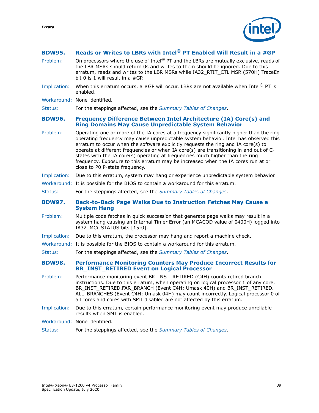

#### <span id="page-38-0"></span>**BDW95. Reads or Writes to LBRs with Intel® PT Enabled Will Result in a #GP**

- Problem: On processors where the use of Intel<sup>®</sup> PT and the LBRs are mutually exclusive, reads of the LBR MSRs should return 0s and writes to them should be ignored. Due to this erratum, reads and writes to the LBR MSRs while IA32\_RTIT\_CTL\_MSR (570H) TraceEn bit 0 is 1 will result in a #GP.
- Implication: When this erratum occurs, a #GP will occur. LBRs are not available when Intel<sup>®</sup> PT is enabled.
- Workaround: None identified.

Status: For the steppings affected, see the *[Summary Tables of Changes](#page-6-0)*.

#### <span id="page-38-1"></span>**BDW96. Frequency Difference Between Intel Architecture (IA) Core(s) and Ring Domains May Cause Unpredictable System Behavior**

Problem: Operating one or more of the IA cores at a frequency significantly higher than the ring operating frequency may cause unpredictable system behavior. Intel has observed this erratum to occur when the software explicitly requests the ring and IA core(s) to operate at different frequencies or when IA core(s) are transitioning in and out of Cstates with the IA core(s) operating at frequencies much higher than the ring frequency. Exposure to this erratum may be increased when the IA cores run at or close to P0 P-state frequency.

#### Implication: Due to this erratum, system may hang or experience unpredictable system behavior.

- Workaround: It is possible for the BIOS to contain a workaround for this erratum.
- Status: For the steppings affected, see the *[Summary Tables of Changes](#page-6-0)*.

#### <span id="page-38-2"></span>**BDW97. Back-to-Back Page Walks Due to Instruction Fetches May Cause a System Hang**

- Problem: Multiple code fetches in quick succession that generate page walks may result in a system hang causing an Internal Timer Error (an MCACOD value of 0400H) logged into IA32\_MCi\_STATUS bits [15:0].
- Implication: Due to this erratum, the processor may hang and report a machine check.
- Workaround: It is possible for the BIOS to contain a workaround for this erratum.

Status: For the steppings affected, see the *[Summary Tables of Changes](#page-6-0)*.

#### <span id="page-38-3"></span>**BDW98. Performance Monitoring Counters May Produce Incorrect Results for BR\_INST\_RETIRED Event on Logical Processor**

- Problem: Performance monitoring event BR\_INST\_RETIRED (C4H) counts retired branch instructions. Due to this erratum, when operating on logical processor 1 of any core, BR\_INST\_RETIRED.FAR\_BRANCH (Event C4H; Umask 40H) and BR\_INST\_RETIRED. ALL\_BRANCHES (Event C4H; Umask 04H) may count incorrectly. Logical processor 0 of all cores and cores with SMT disabled are not affected by this erratum.
- Implication: Due to this erratum, certain performance monitoring event may produce unreliable results when SMT is enabled.
- Workaround: None identified.
- Status: For the steppings affected, see the *[Summary Tables of Changes](#page-6-0)*.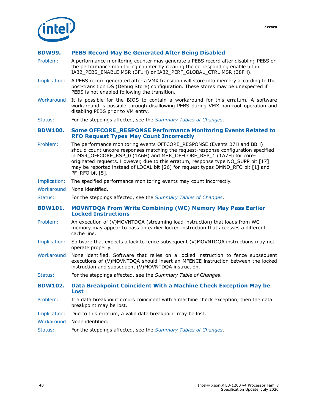

#### <span id="page-39-0"></span>**BDW99. PEBS Record May Be Generated After Being Disabled**

- Problem: A performance monitoring counter may generate a PEBS record after disabling PEBS or the performance monitoring counter by clearing the corresponding enable bit in IA32\_PEBS\_ENABLE MSR (3F1H) or IA32\_PERF\_GLOBAL\_CTRL MSR (38FH).
- Implication: A PEBS record generated after a VMX transition will store into memory according to the post-transition DS (Debug Store) configuration. These stores may be unexpected if PEBS is not enabled following the transition.
- Workaround: It is possible for the BIOS to contain a workaround for this erratum. A software workaround is possible through disallowing PEBS during VMX non-root operation and disabling PEBS prior to VM entry.
- Status: For the steppings affected, see the *[Summary Tables of Changes](#page-6-0)*.

#### <span id="page-39-1"></span>**BDW100. Some OFFCORE\_RESPONSE Performance Monitoring Events Related to RFO Request Types May Count Incorrectly**

- Problem: The performance monitoring events OFFCORE\_RESPONSE (Events B7H and BBH) should count uncore responses matching the request-response configuration specified in MSR\_OFFCORE\_RSP\_0 (1A6H) and MSR\_OFFCORE\_RSP\_1 (1A7H) for coreoriginated requests. However, due to this erratum, response type NO\_SUPP bit [17] may be reported instead of LOCAL bit [26] for request types DMND\_RFO bit [1] and PF\_RFO bit [5].
- Implication: The specified performance monitoring events may count incorrectly.
- Workaround: None identified.
- Status: For the steppings affected, see the *[Summary Tables of Changes](#page-6-0)*.

#### <span id="page-39-2"></span>**BDW101. MOVNTDQA From Write Combining (WC) Memory May Pass Earlier Locked Instructions**

- Problem: An execution of (V)MOVNTDQA (streaming load instruction) that loads from WC memory may appear to pass an earlier locked instruction that accesses a different cache line.
- Implication: Software that expects a lock to fence subsequent (V)MOVNTDQA instructions may not operate properly.
- Workaround: None identified. Software that relies on a locked instruction to fence subsequent executions of (V)MOVNTDQA should insert an MFENCE instruction between the locked instruction and subsequent (V)MOVNTDQA instruction.
- Status: For the steppings affected, see the *Summary Table of Changes*.
- <span id="page-39-3"></span>**BDW102. Data Breakpoint Coincident With a Machine Check Exception May be Lost**
- Problem: If a data breakpoint occurs coincident with a machine check exception, then the data breakpoint may be lost.
- Implication: Due to this erratum, a valid data breakpoint may be lost.
- Workaround: None identified.
- Status: For the steppings affected, see the *[Summary Tables of Changes](#page-6-0)*.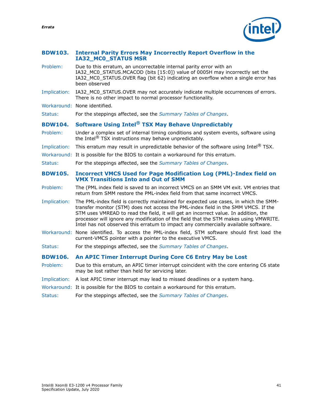#### <span id="page-40-0"></span>**BDW103. Internal Parity Errors May Incorrectly Report Overflow in the IA32\_MC0\_STATUS MSR**

<span id="page-40-2"></span><span id="page-40-1"></span>

| Problem:       | Due to this erratum, an uncorrectable internal parity error with an<br>IA32_MC0_STATUS.MCACOD (bits [15:0]) value of 0005H may incorrectly set the<br>IA32_MC0_STATUS.OVER flag (bit 62) indicating an overflow when a single error has<br>been observed                                                                                                                                                                                          |
|----------------|---------------------------------------------------------------------------------------------------------------------------------------------------------------------------------------------------------------------------------------------------------------------------------------------------------------------------------------------------------------------------------------------------------------------------------------------------|
| Implication:   | IA32_MC0_STATUS.OVER may not accurately indicate multiple occurrences of errors.<br>There is no other impact to normal processor functionality.                                                                                                                                                                                                                                                                                                   |
|                | Workaround: None identified.                                                                                                                                                                                                                                                                                                                                                                                                                      |
| Status:        | For the steppings affected, see the Summary Tables of Changes.                                                                                                                                                                                                                                                                                                                                                                                    |
| <b>BDW104.</b> | Software Using Intel <sup>®</sup> TSX May Behave Unpredictably                                                                                                                                                                                                                                                                                                                                                                                    |
| Problem:       | Under a complex set of internal timing conditions and system events, software using<br>the Intel <sup>®</sup> TSX instructions may behave unpredictably.                                                                                                                                                                                                                                                                                          |
| Implication:   | This erratum may result in unpredictable behavior of the software using Intel® TSX.                                                                                                                                                                                                                                                                                                                                                               |
|                | Workaround: It is possible for the BIOS to contain a workaround for this erratum.                                                                                                                                                                                                                                                                                                                                                                 |
| Status:        | For the steppings affected, see the Summary Tables of Changes.                                                                                                                                                                                                                                                                                                                                                                                    |
| <b>BDW105.</b> | <b>Incorrect VMCS Used for Page Modification Log (PML)-Index field on</b><br><b>VMX Transitions Into and Out of SMM</b>                                                                                                                                                                                                                                                                                                                           |
| Problem:       | The (PML index field is saved to an incorrect VMCS on an SMM VM exit. VM entries that<br>return from SMM restore the PML-index field from that same incorrect VMCS.                                                                                                                                                                                                                                                                               |
| Implication:   | The PML-index field is correctly maintained for expected use cases, in which the SMM-<br>transfer monitor (STM) does not access the PML-index field in the SMM VMCS. If the<br>STM uses VMREAD to read the field, it will get an incorrect value. In addition, the<br>processor will ignore any modification of the field that the STM makes using VMWRITE.<br>Intel has not observed this erratum to impact any commercially available software. |
|                | Workaround: None identified. To access the PML-index field, STM software should first load the<br>current-VMCS pointer with a pointer to the executive VMCS.                                                                                                                                                                                                                                                                                      |
| Status:        | For the steppings affected, see the Summary Tables of Changes.                                                                                                                                                                                                                                                                                                                                                                                    |
| <b>BDW106.</b> | An APIC Timer Interrupt During Core C6 Entry May be Lost                                                                                                                                                                                                                                                                                                                                                                                          |
| Problem:       | Due to this erratum, an APIC timer interrupt coincident with the core entering C6 state<br>may be lost rather than held for servicing later.                                                                                                                                                                                                                                                                                                      |
| Implication:   | A lost APIC timer interrupt may lead to missed deadlines or a system hang.                                                                                                                                                                                                                                                                                                                                                                        |
|                | Workaround: It is possible for the BIOS to contain a workaround for this erratum.                                                                                                                                                                                                                                                                                                                                                                 |

<span id="page-40-3"></span>Status: For the steppings affected, see the *[Summary Tables of Changes](#page-6-0)*.

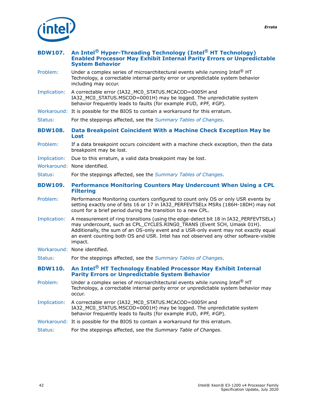

<span id="page-41-3"></span><span id="page-41-2"></span><span id="page-41-1"></span><span id="page-41-0"></span>

| <b>BDW107.</b> | An Intel <sup>®</sup> Hyper-Threading Technology (Intel <sup>®</sup> HT Technology)<br><b>Enabled Processor May Exhibit Internal Parity Errors or Unpredictable</b><br><b>System Behavior</b>                                                                                                                                                             |
|----------------|-----------------------------------------------------------------------------------------------------------------------------------------------------------------------------------------------------------------------------------------------------------------------------------------------------------------------------------------------------------|
| Problem:       | Under a complex series of microarchitectural events while running Intel $^\circledR$ HT<br>Technology, a correctable internal parity error or unpredictable system behavior<br>including may occur.                                                                                                                                                       |
| Implication:   | A correctable error (IA32_MC0_STATUS.MCACOD=0005H and<br>IA32 MC0_STATUS.MSCOD=0001H) may be logged. The unpredictable system<br>behavior frequently leads to faults (for example #UD, #PF, #GP).                                                                                                                                                         |
|                | Workaround: It is possible for the BIOS to contain a workaround for this erratum.                                                                                                                                                                                                                                                                         |
| Status:        | For the steppings affected, see the Summary Tables of Changes.                                                                                                                                                                                                                                                                                            |
| <b>BDW108.</b> | Data Breakpoint Coincident With a Machine Check Exception May be<br>Lost                                                                                                                                                                                                                                                                                  |
| Problem:       | If a data breakpoint occurs coincident with a machine check exception, then the data<br>breakpoint may be lost.                                                                                                                                                                                                                                           |
| Implication:   | Due to this erratum, a valid data breakpoint may be lost.                                                                                                                                                                                                                                                                                                 |
|                | Workaround: None identified.                                                                                                                                                                                                                                                                                                                              |
| Status:        | For the steppings affected, see the Summary Tables of Changes.                                                                                                                                                                                                                                                                                            |
| <b>BDW109.</b> | Performance Monitoring Counters May Undercount When Using a CPL<br><b>Filtering</b>                                                                                                                                                                                                                                                                       |
|                |                                                                                                                                                                                                                                                                                                                                                           |
| Problem:       | Performance Monitoring counters configured to count only OS or only USR events by<br>setting exactly one of bits 16 or 17 in IA32_PERFEVTSELx MSRs (186H-18DH) may not<br>count for a brief period during the transition to a new CPL.                                                                                                                    |
| Implication:   | A measurement of ring transitions (using the edge-detect bit 18 in IA32_PERFEVTSELx)<br>may undercount, such as CPL_CYCLES.RING0_TRANS (Event 5CH, Umask 01H).<br>Additionally, the sum of an OS-only event and a USR-only event may not exactly equal<br>an event counting both OS and USR. Intel has not observed any other software-visible<br>impact. |
|                | Workaround: None identified.                                                                                                                                                                                                                                                                                                                              |
| Status:        | For the steppings affected, see the Summary Tables of Changes.                                                                                                                                                                                                                                                                                            |
| <b>BDW110.</b> | An Intel <sup>®</sup> HT Technology Enabled Processor May Exhibit Internal<br><b>Parity Errors or Unpredictable System Behavior</b>                                                                                                                                                                                                                       |
| Problem:       | Under a complex series of microarchitectural events while running Intel® HT<br>Technology, a correctable internal parity error or unpredictable system behavior may<br>occur.                                                                                                                                                                             |
| Implication:   | A correctable error (IA32 MC0 STATUS.MCACOD=0005H and<br>IA32_MC0_STATUS.MSCOD=0001H) may be logged. The unpredictable system<br>behavior frequently leads to faults (for example #UD, #PF, #GP).                                                                                                                                                         |
|                | Workaround: It is possible for the BIOS to contain a workaround for this erratum.                                                                                                                                                                                                                                                                         |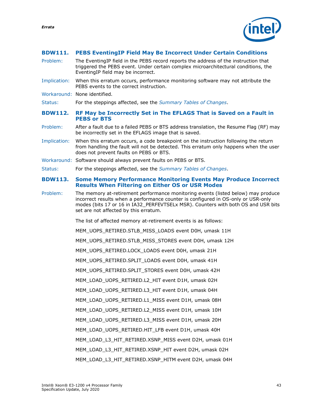

#### <span id="page-42-0"></span>**BDW111. PEBS EventingIP Field May Be Incorrect Under Certain Conditions**

- Problem: The EventingIP field in the PEBS record reports the address of the instruction that triggered the PEBS event. Under certain complex microarchitectural conditions, the EventingIP field may be incorrect.
- Implication: When this erratum occurs, performance monitoring software may not attribute the PEBS events to the correct instruction.
- Workaround: None identified.

Status: For the steppings affected, see the *[Summary Tables of Changes](#page-6-0)*.

- <span id="page-42-1"></span>**BDW112. RF May be Incorrectly Set in The EFLAGS That is Saved on a Fault in PEBS or BTS**
- Problem: After a fault due to a failed PEBS or BTS address translation, the Resume Flag (RF) may be incorrectly set in the EFLAGS image that is saved.
- Implication: When this erratum occurs, a code breakpoint on the instruction following the return from handling the fault will not be detected. This erratum only happens when the user does not prevent faults on PEBS or BTS.
- Workaround: Software should always prevent faults on PEBS or BTS.
- Status: For the steppings affected, see the *[Summary Tables of Changes](#page-6-0)*.

#### <span id="page-42-2"></span>**BDW113. Some Memory Performance Monitoring Events May Produce Incorrect Results When Filtering on Either OS or USR Modes**

Problem: The memory at-retirement performance monitoring events (listed below) may produce incorrect results when a performance counter is configured in OS-only or USR-only modes (bits 17 or 16 in IA32\_PERFEVTSELx MSR). Counters with both OS and USR bits set are not affected by this erratum.

The list of affected memory at-retirement events is as follows:

MEM\_UOPS\_RETIRED.STLB\_MISS\_LOADS event D0H, umask 11H

MEM\_UOPS\_RETIRED.STLB\_MISS\_STORES event D0H, umask 12H

MEM\_UOPS\_RETIRED.LOCK\_LOADS event D0H, umask 21H

MEM\_UOPS\_RETIRED.SPLIT\_LOADS event D0H, umask 41H

MEM\_UOPS\_RETIRED.SPLIT\_STORES event D0H, umask 42H

MEM\_LOAD\_UOPS\_RETIRED.L2\_HIT event D1H, umask 02H

MEM\_LOAD\_UOPS\_RETIRED.L3\_HIT event D1H, umask 04H

MEM\_LOAD\_UOPS\_RETIRED.L1\_MISS event D1H, umask 08H

MEM\_LOAD\_UOPS\_RETIRED.L2\_MISS event D1H, umask 10H

MEM\_LOAD\_UOPS\_RETIRED.L3\_MISS event D1H, umask 20H

MEM\_LOAD\_UOPS\_RETIRED.HIT\_LFB event D1H, umask 40H

MEM\_LOAD\_L3\_HIT\_RETIRED.XSNP\_MISS event D2H, umask 01H

MEM\_LOAD\_L3\_HIT\_RETIRED.XSNP\_HIT event D2H, umask 02H

MEM\_LOAD\_L3\_HIT\_RETIRED.XSNP\_HITM event D2H, umask 04H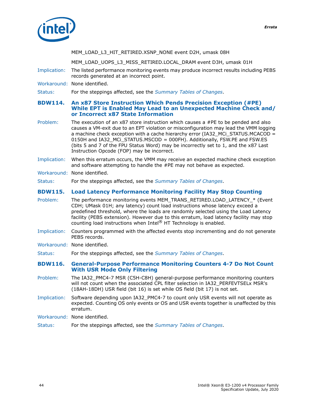



MEM\_LOAD\_L3\_HIT\_RETIRED.XSNP\_NONE event D2H, umask 08H

MEM\_LOAD\_UOPS\_L3\_MISS\_RETIRED.LOCAL\_DRAM event D3H, umask 01H

- Implication: The listed performance monitoring events may produce incorrect results including PEBS records generated at an incorrect point.
- Workaround: None identified.

Status: For the steppings affected, see the *[Summary Tables of Changes](#page-6-0)*.

#### <span id="page-43-0"></span>**BDW114. An x87 Store Instruction Which Pends Precision Exception (#PE) While EPT is Enabled May Lead to an Unexpected Machine Check and/ or Incorrect x87 State Information**

- Problem: The execution of an x87 store instruction which causes a #PE to be pended and also causes a VM-exit due to an EPT violation or misconfiguration may lead the VMM logging a machine check exception with a cache hierarchy error (IA32 MCi STATUS.MCACOD = 0150H and IA32\_MCi\_STATUS.MSCOD = 000FH). Additionally, FSW.PE and FSW.ES (bits 5 and 7 of the FPU Status Word) may be incorrectly set to 1, and the x87 Last Instruction Opcode (FOP) may be incorrect.
- Implication: When this erratum occurs, the VMM may receive an expected machine check exception and software attempting to handle the #PE may not behave as expected.
- Workaround: None identified.

Status: For the steppings affected, see the *[Summary Tables of Changes](#page-6-0)*.

#### <span id="page-43-1"></span>**BDW115. Load Latency Performance Monitoring Facility May Stop Counting**

- Problem: The performance monitoring events MEM\_TRANS\_RETIRED.LOAD\_LATENCY\_\* (Event CDH; UMask 01H; any latency) count load instructions whose latency exceed a predefined threshold, where the loads are randomly selected using the Load Latency facility (PEBS extension). However due to this erratum, load latency facility may stop counting load instructions when Intel® HT Technology is enabled.
- Implication: Counters programmed with the affected events stop incrementing and do not generate PEBS records.
- Workaround: None identified.
- Status: For the steppings affected, see the *[Summary Tables of Changes](#page-6-0)*.

#### <span id="page-43-2"></span>**BDW116. General-Purpose Performance Monitoring Counters 4-7 Do Not Count With USR Mode Only Filtering**

- Problem: The IA32\_PMC4-7 MSR (C5H-C8H) general-purpose performance monitoring counters will not count when the associated CPL filter selection in IA32\_PERFEVTSELx MSR's (18AH-18DH) USR field (bit 16) is set while OS field (bit 17) is not set.
- Implication: Software depending upon IA32 PMC4-7 to count only USR events will not operate as expected. Counting OS only events or OS and USR events together is unaffected by this erratum.
- Workaround: None identified.
- Status: For the steppings affected, see the *[Summary Tables of Changes](#page-6-0)*.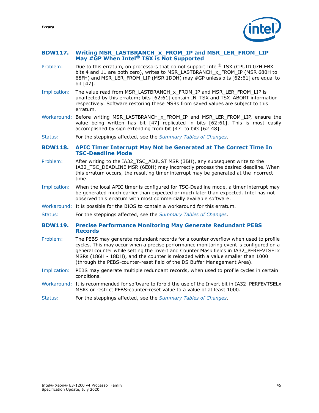*Errata*

#### <span id="page-44-0"></span>**BDW117. Writing MSR\_LASTBRANCH\_x\_FROM\_IP and MSR\_LER\_FROM\_LIP May #GP When Intel® TSX is Not Supported**

- Problem: Due to this erratum, on processors that do not support Intel<sup>®</sup> TSX (CPUID.07H.EBX bits 4 and 11 are both zero), writes to MSR\_LASTBRANCH\_x\_FROM\_IP (MSR 680H to 68FH) and MSR\_LER\_FROM\_LIP (MSR 1DDH) may #GP unless bits [62:61] are equal to bit [47].
- Implication: The value read from MSR\_LASTBRANCH\_x\_FROM\_IP and MSR\_LER\_FROM\_LIP is unaffected by this erratum; bits [62:61] contain IN\_TSX and TSX\_ABORT information respectively. Software restoring these MSRs from saved values are subject to this erratum.
- Workaround: Before writing MSR LASTBRANCH x FROM IP and MSR LER FROM LIP, ensure the value being written has bit [47] replicated in bits [62:61]. This is most easily accomplished by sign extending from bit [47] to bits [62:48].
- Status: For the steppings affected, see the *[Summary Tables of Changes](#page-6-0)*.

#### <span id="page-44-1"></span>**BDW118. APIC Timer Interrupt May Not be Generated at The Correct Time In TSC-Deadline Mode**

- Problem: After writing to the IA32\_TSC\_ADJUST MSR (3BH), any subsequent write to the IA32\_TSC\_DEADLINE MSR (6E0H) may incorrectly process the desired deadline. When this erratum occurs, the resulting timer interrupt may be generated at the incorrect time.
- Implication: When the local APIC timer is configured for TSC-Deadline mode, a timer interrupt may be generated much earlier than expected or much later than expected. Intel has not observed this erratum with most commercially available software.
- Workaround: It is possible for the BIOS to contain a workaround for this erratum.
- Status: For the steppings affected, see the *[Summary Tables of Changes](#page-6-0)*.

#### <span id="page-44-2"></span>**BDW119. Precise Performance Monitoring May Generate Redundant PEBS Records**

- Problem: The PEBS may generate redundant records for a counter overflow when used to profile cycles. This may occur when a precise performance monitoring event is configured on a general counter while setting the Invert and Counter Mask fields in IA32\_PERFEVTSELx MSRs (186H - 18DH), and the counter is reloaded with a value smaller than 1000 (through the PEBS-counter-reset field of the DS Buffer Management Area).
- Implication: PEBS may generate multiple redundant records, when used to profile cycles in certain conditions.
- Workaround: It is recommended for software to forbid the use of the Invert bit in IA32\_PERFEVTSELx MSRs or restrict PEBS-counter-reset value to a value of at least 1000.
- Status: For the steppings affected, see the *[Summary Tables of Changes](#page-6-0)*.

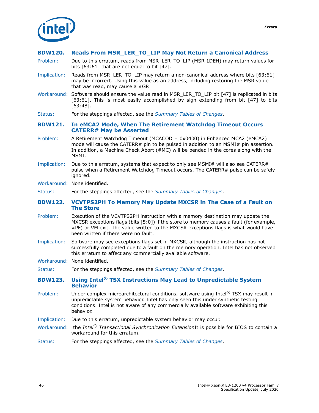

#### <span id="page-45-0"></span>**BDW120. Reads From MSR\_LER\_TO\_LIP May Not Return a Canonical Address**

- Problem: Due to this erratum, reads from MSR\_LER\_TO\_LIP (MSR 1DEH) may return values for bits [63:61] that are not equal to bit [47].
- Implication: Reads from MSR\_LER\_TO\_LIP may return a non-canonical address where bits [63:61] may be incorrect. Using this value as an address, including restoring the MSR value that was read, may cause a #GP.
- Workaround: Software should ensure the value read in MSR\_LER\_TO\_LIP bit [47] is replicated in bits [63:61]. This is most easily accomplished by sign extending from bit [47] to bits [63:48].
- Status: For the steppings affected, see the *[Summary Tables of Changes](#page-6-0)*.

#### <span id="page-45-1"></span>**BDW121. In eMCA2 Mode, When The Retirement Watchdog Timeout Occurs CATERR# May be Asserted**

- Problem: A Retirement Watchdog Timeout (MCACOD = 0x0400) in Enhanced MCA2 (eMCA2) mode will cause the CATERR# pin to be pulsed in addition to an MSMI# pin assertion. In addition, a Machine Check Abort (#MC) will be pended in the cores along with the MSMI.
- Implication: Due to this erratum, systems that expect to only see MSMI# will also see CATERR# pulse when a Retirement Watchdog Timeout occurs. The CATERR# pulse can be safely ignored.
- Workaround: None identified.

Status: For the steppings affected, see the *[Summary Tables of Changes](#page-6-0)*.

#### <span id="page-45-2"></span>**BDW122. VCVTPS2PH To Memory May Update MXCSR in The Case of a Fault on The Store**

- Problem: Execution of the VCVTPS2PH instruction with a memory destination may update the MXCSR exceptions flags (bits [5:0]) if the store to memory causes a fault (for example, #PF) or VM exit. The value written to the MXCSR exceptions flags is what would have been written if there were no fault.
- Implication: Software may see exceptions flags set in MXCSR, although the instruction has not successfully completed due to a fault on the memory operation. Intel has not observed this erratum to affect any commercially available software.
- Workaround: None identified.

Status: For the steppings affected, see the *[Summary Tables of Changes](#page-6-0)*.

#### <span id="page-45-3"></span>**BDW123. Using Intel® TSX Instructions May Lead to Unpredictable System Behavior**

- Problem: Under complex microarchitectural conditions, software using Intel® TSX may result in unpredictable system behavior. Intel has only seen this under synthetic testing conditions. Intel is not aware of any commercially available software exhibiting this behavior.
- Implication: Due to this erratum, unpredictable system behavior may occur.
- Workaround: the *Intel® Transactional Synchronization Extension*It is possible for BIOS to contain a workaround for this erratum.
- Status: For the steppings affected, see the *[Summary Tables of Changes](#page-6-0)*.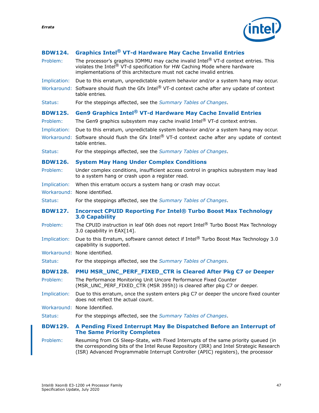

<span id="page-46-5"></span><span id="page-46-4"></span><span id="page-46-3"></span><span id="page-46-2"></span><span id="page-46-1"></span><span id="page-46-0"></span>

| <b>BDW124.</b> | <b>Graphics Intel<sup>®</sup> VT-d Hardware May Cache Invalid Entries</b>                                                                                                                                                               |
|----------------|-----------------------------------------------------------------------------------------------------------------------------------------------------------------------------------------------------------------------------------------|
| Problem:       | The processor's graphics IOMMU may cache invalid Intel® VT-d context entries. This<br>violates the Intel® VT-d specification for HW Caching Mode where hardware<br>implementations of this architecture must not cache invalid entries. |
| Implication:   | Due to this erratum, unpredictable system behavior and/or a system hang may occur.                                                                                                                                                      |
|                | Workaround: Software should flush the Gfx Intel® VT-d context cache after any update of context<br>table entries.                                                                                                                       |
| Status:        | For the steppings affected, see the Summary Tables of Changes.                                                                                                                                                                          |
| <b>BDW125.</b> | <b>Gen9 Graphics Intel<sup>®</sup> VT-d Hardware May Cache Invalid Entries</b>                                                                                                                                                          |
| Problem:       | The Gen9 graphics subsystem may cache invalid Intel <sup>®</sup> VT-d context entries.                                                                                                                                                  |
| Implication:   | Due to this erratum, unpredictable system behavior and/or a system hang may occur.                                                                                                                                                      |
|                | Workaround: Software should flush the Gfx Intel® VT-d context cache after any update of context<br>table entries.                                                                                                                       |
| Status:        | For the steppings affected, see the Summary Tables of Changes.                                                                                                                                                                          |
| <b>BDW126.</b> | <b>System May Hang Under Complex Conditions</b>                                                                                                                                                                                         |
| Problem:       | Under complex conditions, insufficient access control in graphics subsystem may lead<br>to a system hang or crash upon a register read.                                                                                                 |
| Implication:   | When this erratum occurs a system hang or crash may occur.                                                                                                                                                                              |
|                | Workaround: None identified.                                                                                                                                                                                                            |
| Status:        | For the steppings affected, see the Summary Tables of Changes.                                                                                                                                                                          |
| <b>BDW127.</b> | <b>Incorrect CPUID Reporting For Intel® Turbo Boost Max Technology</b><br><b>3.0 Capability</b>                                                                                                                                         |
| Problem:       | The CPUID instruction in leaf 06h does not report Intel® Turbo Boost Max Technology                                                                                                                                                     |
|                | 3.0 capability in EAX[14].                                                                                                                                                                                                              |
| Implication:   | Due to this Erratum, software cannot detect if Intel® Turbo Boost Max Technology 3.0<br>capability is supported.                                                                                                                        |
|                | Workaround: None identified.                                                                                                                                                                                                            |
| Status:        | For the steppings affected, see the Summary Tables of Changes.                                                                                                                                                                          |
| <b>BDW128.</b> | PMU MSR UNC PERF FIXED CTR is Cleared After Pkg C7 or Deeper                                                                                                                                                                            |
| Problem:       | The Performance Monitoring Unit Uncore Performance Fixed Counter<br>(MSR_UNC_PERF_FIXED_CTR (MSR 395h)) is cleared after pkg C7 or deeper.                                                                                              |
| Implication:   | Due to this erratum, once the system enters pkg C7 or deeper the uncore fixed counter<br>does not reflect the actual count.                                                                                                             |
|                | Workaround: None Identified.                                                                                                                                                                                                            |
| Status:        | For the steppings affected, see the Summary Tables of Changes.                                                                                                                                                                          |
| <b>BDW129.</b> | A Pending Fixed Interrupt May Be Dispatched Before an Interrupt of<br><b>The Same Priority Completes</b>                                                                                                                                |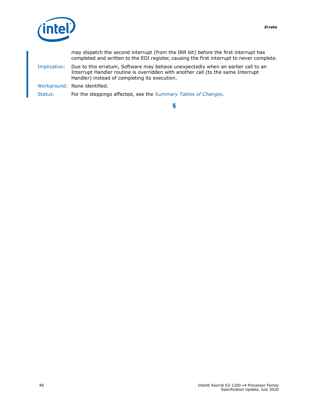

may dispatch the second interrupt (from the IRR bit) before the first interrupt has completed and written to the EOI register, causing the first interrupt to never complete. Implication: Due to this erratum, Software may behave unexpectedly when an earlier call to an Interrupt Handler routine is overridden with another call (to the same Interrupt Handler) instead of completing its execution. Workaround: None identified. Status: For the steppings affected, see the *[Summary Tables of Changes](#page-6-0)*.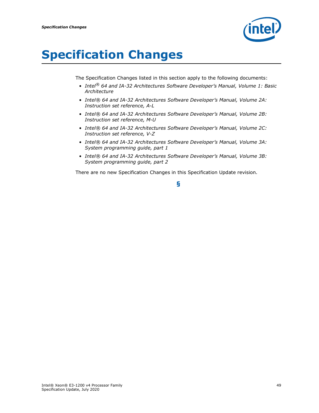

## <span id="page-48-0"></span>**Specification Changes**

The Specification Changes listed in this section apply to the following documents:

- *• Intel® 64 and IA-32 Architectures Software Developer's Manual, Volume 1: Basic Architecture*
- *• Intel® 64 and IA-32 Architectures Software Developer's Manual, Volume 2A: Instruction set reference, A-L*
- *• Intel® 64 and IA-32 Architectures Software Developer's Manual, Volume 2B: Instruction set reference, M-U*
- *• Intel® 64 and IA-32 Architectures Software Developer's Manual, Volume 2C: Instruction set reference, V-Z*
- *• Intel® 64 and IA-32 Architectures Software Developer's Manual, Volume 3A: System programming guide, part 1*
- *• Intel® 64 and IA-32 Architectures Software Developer's Manual, Volume 3B: System programming guide, part 2*

There are no new Specification Changes in this Specification Update revision.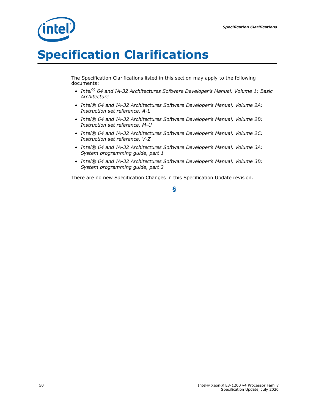

## <span id="page-49-0"></span>**Specification Clarifications**

The Specification Clarifications listed in this section may apply to the following documents:

- *• Intel® 64 and IA-32 Architectures Software Developer's Manual, Volume 1: Basic Architecture*
- *• Intel® 64 and IA-32 Architectures Software Developer's Manual, Volume 2A: Instruction set reference, A-L*
- *• Intel® 64 and IA-32 Architectures Software Developer's Manual, Volume 2B: Instruction set reference, M-U*
- *• Intel® 64 and IA-32 Architectures Software Developer's Manual, Volume 2C: Instruction set reference, V-Z*
- *• Intel® 64 and IA-32 Architectures Software Developer's Manual, Volume 3A: System programming guide, part 1*
- *• Intel® 64 and IA-32 Architectures Software Developer's Manual, Volume 3B: System programming guide, part 2*

There are no new Specification Changes in this Specification Update revision.